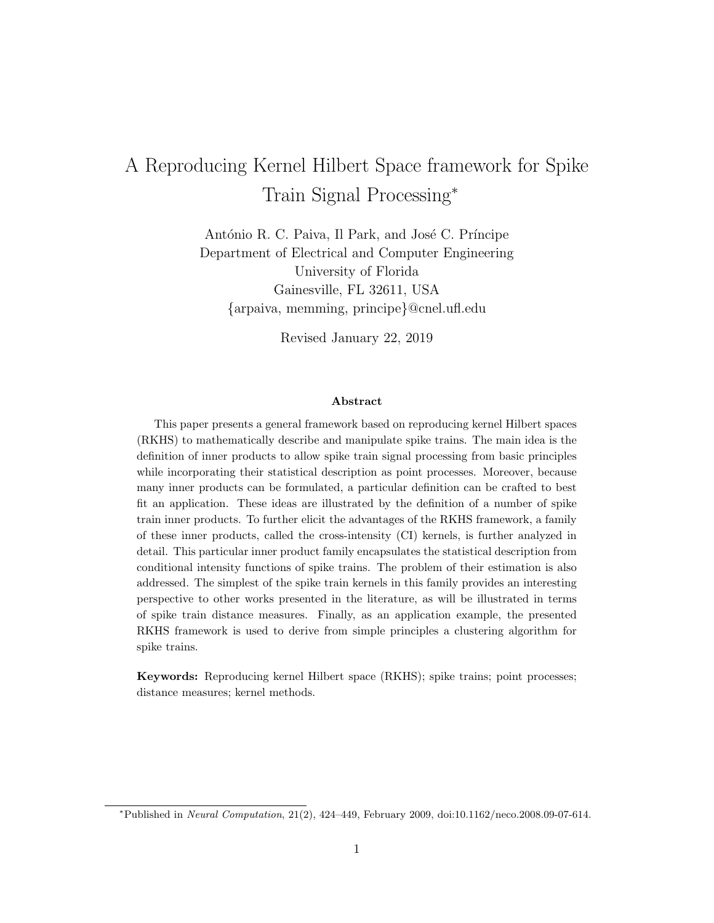# A Reproducing Kernel Hilbert Space framework for Spike Train Signal Processing<sup>∗</sup>

António R. C. Paiva, Il Park, and José C. Príncipe Department of Electrical and Computer Engineering University of Florida Gainesville, FL 32611, USA {arpaiva, memming, principe}@cnel.ufl.edu

Revised January 22, 2019

#### Abstract

This paper presents a general framework based on reproducing kernel Hilbert spaces (RKHS) to mathematically describe and manipulate spike trains. The main idea is the definition of inner products to allow spike train signal processing from basic principles while incorporating their statistical description as point processes. Moreover, because many inner products can be formulated, a particular definition can be crafted to best fit an application. These ideas are illustrated by the definition of a number of spike train inner products. To further elicit the advantages of the RKHS framework, a family of these inner products, called the cross-intensity (CI) kernels, is further analyzed in detail. This particular inner product family encapsulates the statistical description from conditional intensity functions of spike trains. The problem of their estimation is also addressed. The simplest of the spike train kernels in this family provides an interesting perspective to other works presented in the literature, as will be illustrated in terms of spike train distance measures. Finally, as an application example, the presented RKHS framework is used to derive from simple principles a clustering algorithm for spike trains.

Keywords: Reproducing kernel Hilbert space (RKHS); spike trains; point processes; distance measures; kernel methods.

<sup>∗</sup>Published in Neural Computation, 21(2), 424–449, February 2009, doi:10.1162/neco.2008.09-07-614.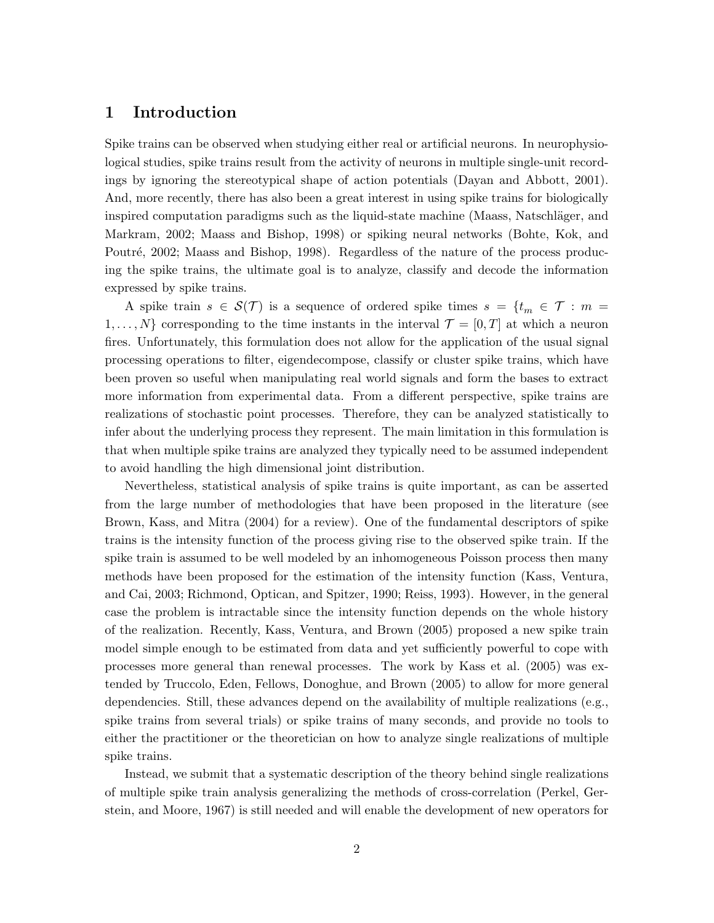## 1 Introduction

Spike trains can be observed when studying either real or artificial neurons. In neurophysiological studies, spike trains result from the activity of neurons in multiple single-unit recordings by ignoring the stereotypical shape of action potentials (Dayan and Abbott, 2001). And, more recently, there has also been a great interest in using spike trains for biologically inspired computation paradigms such as the liquid-state machine (Maass, Natschläger, and Markram, 2002; Maass and Bishop, 1998) or spiking neural networks (Bohte, Kok, and Poutré, 2002; Maass and Bishop, 1998). Regardless of the nature of the process producing the spike trains, the ultimate goal is to analyze, classify and decode the information expressed by spike trains.

A spike train  $s \in \mathcal{S}(\mathcal{T})$  is a sequence of ordered spike times  $s = \{t_m \in \mathcal{T} : m =$  $1, \ldots, N$  corresponding to the time instants in the interval  $\mathcal{T} = [0, T]$  at which a neuron fires. Unfortunately, this formulation does not allow for the application of the usual signal processing operations to filter, eigendecompose, classify or cluster spike trains, which have been proven so useful when manipulating real world signals and form the bases to extract more information from experimental data. From a different perspective, spike trains are realizations of stochastic point processes. Therefore, they can be analyzed statistically to infer about the underlying process they represent. The main limitation in this formulation is that when multiple spike trains are analyzed they typically need to be assumed independent to avoid handling the high dimensional joint distribution.

Nevertheless, statistical analysis of spike trains is quite important, as can be asserted from the large number of methodologies that have been proposed in the literature (see Brown, Kass, and Mitra (2004) for a review). One of the fundamental descriptors of spike trains is the intensity function of the process giving rise to the observed spike train. If the spike train is assumed to be well modeled by an inhomogeneous Poisson process then many methods have been proposed for the estimation of the intensity function (Kass, Ventura, and Cai, 2003; Richmond, Optican, and Spitzer, 1990; Reiss, 1993). However, in the general case the problem is intractable since the intensity function depends on the whole history of the realization. Recently, Kass, Ventura, and Brown (2005) proposed a new spike train model simple enough to be estimated from data and yet sufficiently powerful to cope with processes more general than renewal processes. The work by Kass et al. (2005) was extended by Truccolo, Eden, Fellows, Donoghue, and Brown (2005) to allow for more general dependencies. Still, these advances depend on the availability of multiple realizations (e.g., spike trains from several trials) or spike trains of many seconds, and provide no tools to either the practitioner or the theoretician on how to analyze single realizations of multiple spike trains.

Instead, we submit that a systematic description of the theory behind single realizations of multiple spike train analysis generalizing the methods of cross-correlation (Perkel, Gerstein, and Moore, 1967) is still needed and will enable the development of new operators for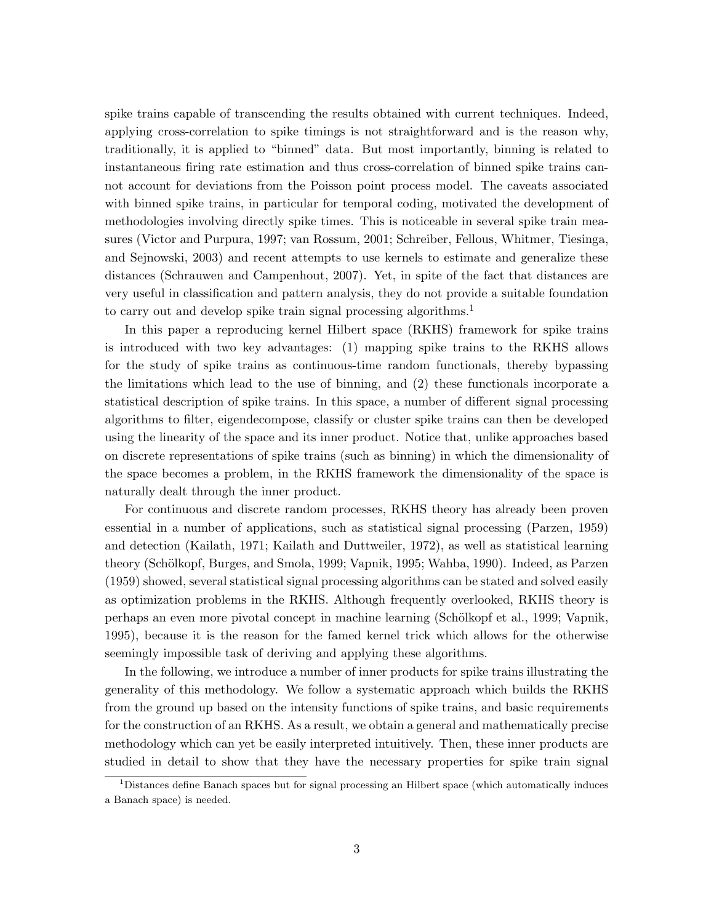spike trains capable of transcending the results obtained with current techniques. Indeed, applying cross-correlation to spike timings is not straightforward and is the reason why, traditionally, it is applied to "binned" data. But most importantly, binning is related to instantaneous firing rate estimation and thus cross-correlation of binned spike trains cannot account for deviations from the Poisson point process model. The caveats associated with binned spike trains, in particular for temporal coding, motivated the development of methodologies involving directly spike times. This is noticeable in several spike train measures (Victor and Purpura, 1997; van Rossum, 2001; Schreiber, Fellous, Whitmer, Tiesinga, and Sejnowski, 2003) and recent attempts to use kernels to estimate and generalize these distances (Schrauwen and Campenhout, 2007). Yet, in spite of the fact that distances are very useful in classification and pattern analysis, they do not provide a suitable foundation to carry out and develop spike train signal processing algorithms.<sup>1</sup>

In this paper a reproducing kernel Hilbert space (RKHS) framework for spike trains is introduced with two key advantages: (1) mapping spike trains to the RKHS allows for the study of spike trains as continuous-time random functionals, thereby bypassing the limitations which lead to the use of binning, and (2) these functionals incorporate a statistical description of spike trains. In this space, a number of different signal processing algorithms to filter, eigendecompose, classify or cluster spike trains can then be developed using the linearity of the space and its inner product. Notice that, unlike approaches based on discrete representations of spike trains (such as binning) in which the dimensionality of the space becomes a problem, in the RKHS framework the dimensionality of the space is naturally dealt through the inner product.

For continuous and discrete random processes, RKHS theory has already been proven essential in a number of applications, such as statistical signal processing (Parzen, 1959) and detection (Kailath, 1971; Kailath and Duttweiler, 1972), as well as statistical learning theory (Schölkopf, Burges, and Smola, 1999; Vapnik, 1995; Wahba, 1990). Indeed, as Parzen (1959) showed, several statistical signal processing algorithms can be stated and solved easily as optimization problems in the RKHS. Although frequently overlooked, RKHS theory is perhaps an even more pivotal concept in machine learning (Sch¨olkopf et al., 1999; Vapnik, 1995), because it is the reason for the famed kernel trick which allows for the otherwise seemingly impossible task of deriving and applying these algorithms.

In the following, we introduce a number of inner products for spike trains illustrating the generality of this methodology. We follow a systematic approach which builds the RKHS from the ground up based on the intensity functions of spike trains, and basic requirements for the construction of an RKHS. As a result, we obtain a general and mathematically precise methodology which can yet be easily interpreted intuitively. Then, these inner products are studied in detail to show that they have the necessary properties for spike train signal

<sup>&</sup>lt;sup>1</sup>Distances define Banach spaces but for signal processing an Hilbert space (which automatically induces a Banach space) is needed.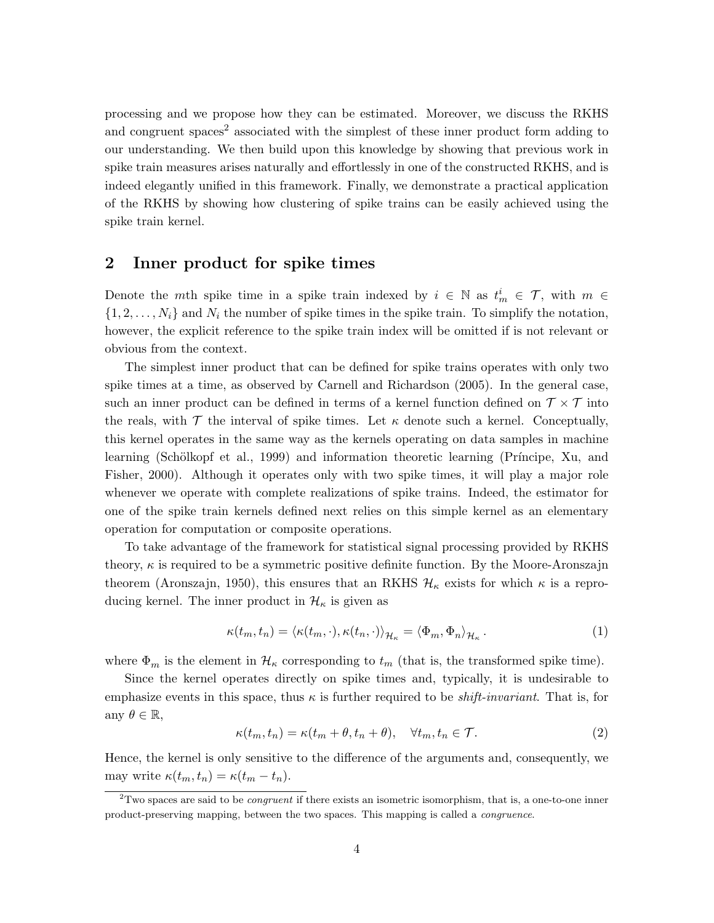processing and we propose how they can be estimated. Moreover, we discuss the RKHS and congruent spaces<sup>2</sup> associated with the simplest of these inner product form adding to our understanding. We then build upon this knowledge by showing that previous work in spike train measures arises naturally and effortlessly in one of the constructed RKHS, and is indeed elegantly unified in this framework. Finally, we demonstrate a practical application of the RKHS by showing how clustering of spike trains can be easily achieved using the spike train kernel.

## 2 Inner product for spike times

Denote the mth spike time in a spike train indexed by  $i \in \mathbb{N}$  as  $t_m^i \in \mathcal{T}$ , with  $m \in$  $\{1, 2, \ldots, N_i\}$  and  $N_i$  the number of spike times in the spike train. To simplify the notation, however, the explicit reference to the spike train index will be omitted if is not relevant or obvious from the context.

The simplest inner product that can be defined for spike trains operates with only two spike times at a time, as observed by Carnell and Richardson (2005). In the general case, such an inner product can be defined in terms of a kernel function defined on  $\mathcal{T} \times \mathcal{T}$  into the reals, with  $\mathcal T$  the interval of spike times. Let  $\kappa$  denote such a kernel. Conceptually, this kernel operates in the same way as the kernels operating on data samples in machine learning (Schölkopf et al., 1999) and information theoretic learning (Príncipe, Xu, and Fisher, 2000). Although it operates only with two spike times, it will play a major role whenever we operate with complete realizations of spike trains. Indeed, the estimator for one of the spike train kernels defined next relies on this simple kernel as an elementary operation for computation or composite operations.

To take advantage of the framework for statistical signal processing provided by RKHS theory,  $\kappa$  is required to be a symmetric positive definite function. By the Moore-Aronszajn theorem (Aronszajn, 1950), this ensures that an RKHS  $\mathcal{H}_\kappa$  exists for which  $\kappa$  is a reproducing kernel. The inner product in  $\mathcal{H}_{\kappa}$  is given as

$$
\kappa(t_m, t_n) = \langle \kappa(t_m, \cdot), \kappa(t_n, \cdot) \rangle_{\mathcal{H}_\kappa} = \langle \Phi_m, \Phi_n \rangle_{\mathcal{H}_\kappa}.
$$
 (1)

where  $\Phi_m$  is the element in  $\mathcal{H}_\kappa$  corresponding to  $t_m$  (that is, the transformed spike time).

Since the kernel operates directly on spike times and, typically, it is undesirable to emphasize events in this space, thus  $\kappa$  is further required to be *shift-invariant*. That is, for any  $\theta \in \mathbb{R}$ ,

$$
\kappa(t_m, t_n) = \kappa(t_m + \theta, t_n + \theta), \quad \forall t_m, t_n \in \mathcal{T}.
$$
 (2)

Hence, the kernel is only sensitive to the difference of the arguments and, consequently, we may write  $\kappa(t_m, t_n) = \kappa(t_m - t_n)$ .

<sup>&</sup>lt;sup>2</sup>Two spaces are said to be *congruent* if there exists an isometric isomorphism, that is, a one-to-one inner product-preserving mapping, between the two spaces. This mapping is called a congruence.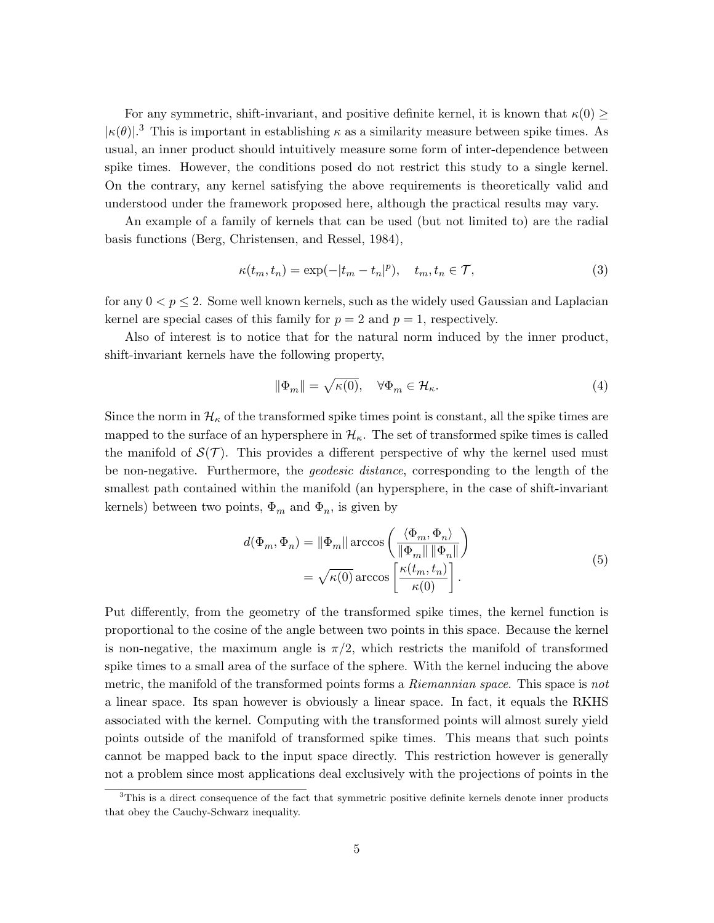For any symmetric, shift-invariant, and positive definite kernel, it is known that  $\kappa(0) \geq$  $|\kappa(\theta)|$ .<sup>3</sup> This is important in establishing  $\kappa$  as a similarity measure between spike times. As usual, an inner product should intuitively measure some form of inter-dependence between spike times. However, the conditions posed do not restrict this study to a single kernel. On the contrary, any kernel satisfying the above requirements is theoretically valid and understood under the framework proposed here, although the practical results may vary.

An example of a family of kernels that can be used (but not limited to) are the radial basis functions (Berg, Christensen, and Ressel, 1984),

$$
\kappa(t_m, t_n) = \exp(-|t_m - t_n|^p), \quad t_m, t_n \in \mathcal{T}, \tag{3}
$$

for any  $0 < p \leq 2$ . Some well known kernels, such as the widely used Gaussian and Laplacian kernel are special cases of this family for  $p = 2$  and  $p = 1$ , respectively.

Also of interest is to notice that for the natural norm induced by the inner product, shift-invariant kernels have the following property,

$$
\|\Phi_m\| = \sqrt{\kappa(0)}, \quad \forall \Phi_m \in \mathcal{H}_\kappa. \tag{4}
$$

Since the norm in  $\mathcal{H}_{\kappa}$  of the transformed spike times point is constant, all the spike times are mapped to the surface of an hypersphere in  $\mathcal{H}_{\kappa}$ . The set of transformed spike times is called the manifold of  $\mathcal{S}(\mathcal{T})$ . This provides a different perspective of why the kernel used must be non-negative. Furthermore, the *geodesic distance*, corresponding to the length of the smallest path contained within the manifold (an hypersphere, in the case of shift-invariant kernels) between two points,  $\Phi_m$  and  $\Phi_n$ , is given by

$$
d(\Phi_m, \Phi_n) = \|\Phi_m\| \arccos\left(\frac{\langle \Phi_m, \Phi_n \rangle}{\|\Phi_m\| \|\Phi_n\|}\right)
$$

$$
= \sqrt{\kappa(0)} \arccos\left[\frac{\kappa(t_m, t_n)}{\kappa(0)}\right].
$$
(5)

Put differently, from the geometry of the transformed spike times, the kernel function is proportional to the cosine of the angle between two points in this space. Because the kernel is non-negative, the maximum angle is  $\pi/2$ , which restricts the manifold of transformed spike times to a small area of the surface of the sphere. With the kernel inducing the above metric, the manifold of the transformed points forms a *Riemannian space*. This space is *not* a linear space. Its span however is obviously a linear space. In fact, it equals the RKHS associated with the kernel. Computing with the transformed points will almost surely yield points outside of the manifold of transformed spike times. This means that such points cannot be mapped back to the input space directly. This restriction however is generally not a problem since most applications deal exclusively with the projections of points in the

 $3$ This is a direct consequence of the fact that symmetric positive definite kernels denote inner products that obey the Cauchy-Schwarz inequality.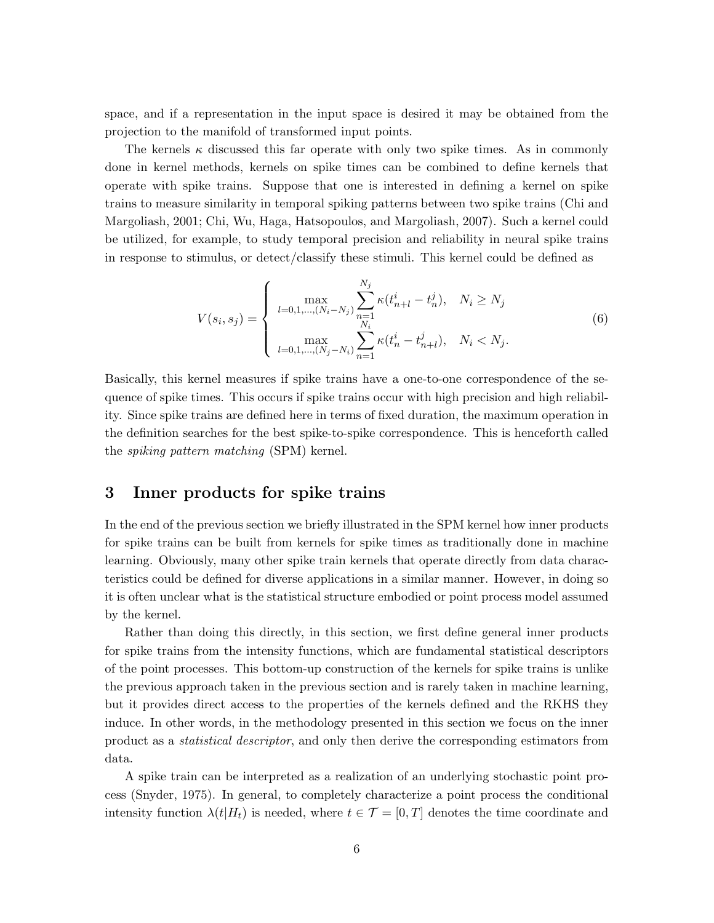space, and if a representation in the input space is desired it may be obtained from the projection to the manifold of transformed input points.

The kernels  $\kappa$  discussed this far operate with only two spike times. As in commonly done in kernel methods, kernels on spike times can be combined to define kernels that operate with spike trains. Suppose that one is interested in defining a kernel on spike trains to measure similarity in temporal spiking patterns between two spike trains (Chi and Margoliash, 2001; Chi, Wu, Haga, Hatsopoulos, and Margoliash, 2007). Such a kernel could be utilized, for example, to study temporal precision and reliability in neural spike trains in response to stimulus, or detect/classify these stimuli. This kernel could be defined as

$$
V(s_i, s_j) = \begin{cases} \max_{l=0,1,\dots,(N_i-N_j)} \sum_{n=1}^{N_j} \kappa(t_{n+l}^i - t_n^j), & N_i \ge N_j\\ \max_{l=0,1,\dots,(N_j-N_i)} \sum_{n=1}^{N_i} \kappa(t_n^i - t_{n+l}^j), & N_i < N_j. \end{cases} \tag{6}
$$

Basically, this kernel measures if spike trains have a one-to-one correspondence of the sequence of spike times. This occurs if spike trains occur with high precision and high reliability. Since spike trains are defined here in terms of fixed duration, the maximum operation in the definition searches for the best spike-to-spike correspondence. This is henceforth called the *spiking pattern matching* (SPM) kernel.

## 3 Inner products for spike trains

In the end of the previous section we briefly illustrated in the SPM kernel how inner products for spike trains can be built from kernels for spike times as traditionally done in machine learning. Obviously, many other spike train kernels that operate directly from data characteristics could be defined for diverse applications in a similar manner. However, in doing so it is often unclear what is the statistical structure embodied or point process model assumed by the kernel.

Rather than doing this directly, in this section, we first define general inner products for spike trains from the intensity functions, which are fundamental statistical descriptors of the point processes. This bottom-up construction of the kernels for spike trains is unlike the previous approach taken in the previous section and is rarely taken in machine learning, but it provides direct access to the properties of the kernels defined and the RKHS they induce. In other words, in the methodology presented in this section we focus on the inner product as a *statistical descriptor*, and only then derive the corresponding estimators from data.

A spike train can be interpreted as a realization of an underlying stochastic point process (Snyder, 1975). In general, to completely characterize a point process the conditional intensity function  $\lambda(t|H_t)$  is needed, where  $t \in \mathcal{T} = [0, T]$  denotes the time coordinate and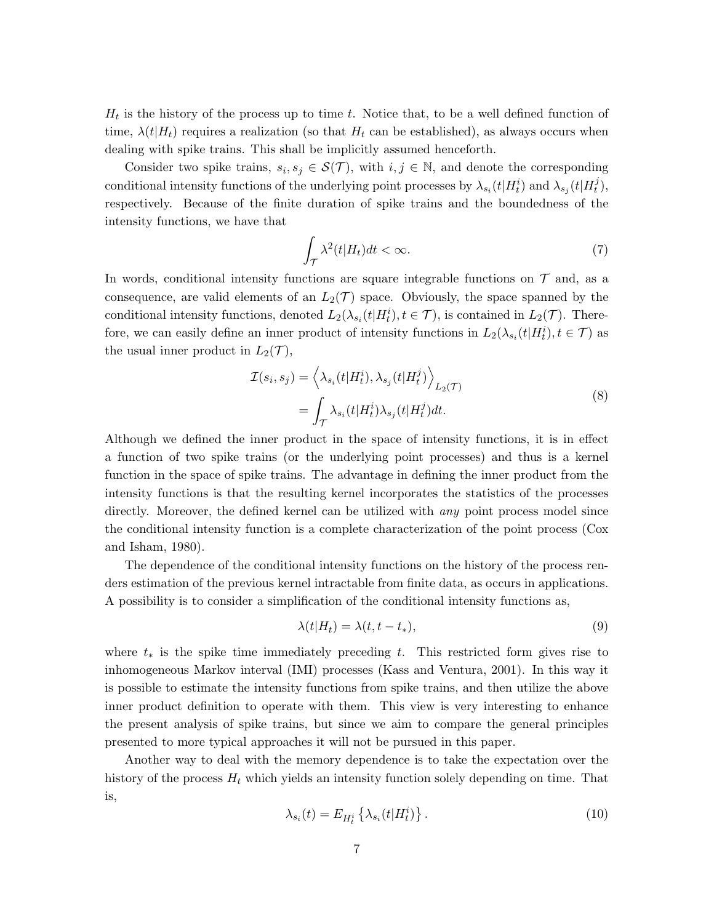$H_t$  is the history of the process up to time t. Notice that, to be a well defined function of time,  $\lambda(t|H_t)$  requires a realization (so that  $H_t$  can be established), as always occurs when dealing with spike trains. This shall be implicitly assumed henceforth.

Consider two spike trains,  $s_i, s_j \in \mathcal{S}(\mathcal{T})$ , with  $i, j \in \mathbb{N}$ , and denote the corresponding conditional intensity functions of the underlying point processes by  $\lambda_{s_i}(t|H_t^i)$  and  $\lambda_{s_j}(t|H_t^j)$  $_{t}^{j}),$ respectively. Because of the finite duration of spike trains and the boundedness of the intensity functions, we have that

$$
\int_{\mathcal{T}} \lambda^2(t|H_t)dt < \infty. \tag{7}
$$

In words, conditional intensity functions are square integrable functions on  $\mathcal T$  and, as a consequence, are valid elements of an  $L_2(\mathcal{T})$  space. Obviously, the space spanned by the conditional intensity functions, denoted  $L_2(\lambda_{s_i}(t|H_t^i), t \in \mathcal{T})$ , is contained in  $L_2(\mathcal{T})$ . Therefore, we can easily define an inner product of intensity functions in  $L_2(\lambda_{s_i}(t|H_t^i), t \in \mathcal{T})$  as the usual inner product in  $L_2(\mathcal{T}),$ 

$$
\mathcal{I}(s_i, s_j) = \left\langle \lambda_{s_i}(t | H_t^i), \lambda_{s_j}(t | H_t^j) \right\rangle_{L_2(\mathcal{T})}
$$
\n
$$
= \int_{\mathcal{T}} \lambda_{s_i}(t | H_t^i) \lambda_{s_j}(t | H_t^j) dt.
$$
\n(8)

Although we defined the inner product in the space of intensity functions, it is in effect a function of two spike trains (or the underlying point processes) and thus is a kernel function in the space of spike trains. The advantage in defining the inner product from the intensity functions is that the resulting kernel incorporates the statistics of the processes directly. Moreover, the defined kernel can be utilized with *any* point process model since the conditional intensity function is a complete characterization of the point process (Cox and Isham, 1980).

The dependence of the conditional intensity functions on the history of the process renders estimation of the previous kernel intractable from finite data, as occurs in applications. A possibility is to consider a simplification of the conditional intensity functions as,

$$
\lambda(t|H_t) = \lambda(t, t - t_*),\tag{9}
$$

where  $t_*$  is the spike time immediately preceding t. This restricted form gives rise to inhomogeneous Markov interval (IMI) processes (Kass and Ventura, 2001). In this way it is possible to estimate the intensity functions from spike trains, and then utilize the above inner product definition to operate with them. This view is very interesting to enhance the present analysis of spike trains, but since we aim to compare the general principles presented to more typical approaches it will not be pursued in this paper.

Another way to deal with the memory dependence is to take the expectation over the history of the process  $H_t$  which yields an intensity function solely depending on time. That is,

$$
\lambda_{s_i}(t) = E_{H_t^i} \left\{ \lambda_{s_i}(t | H_t^i) \right\}.
$$
\n(10)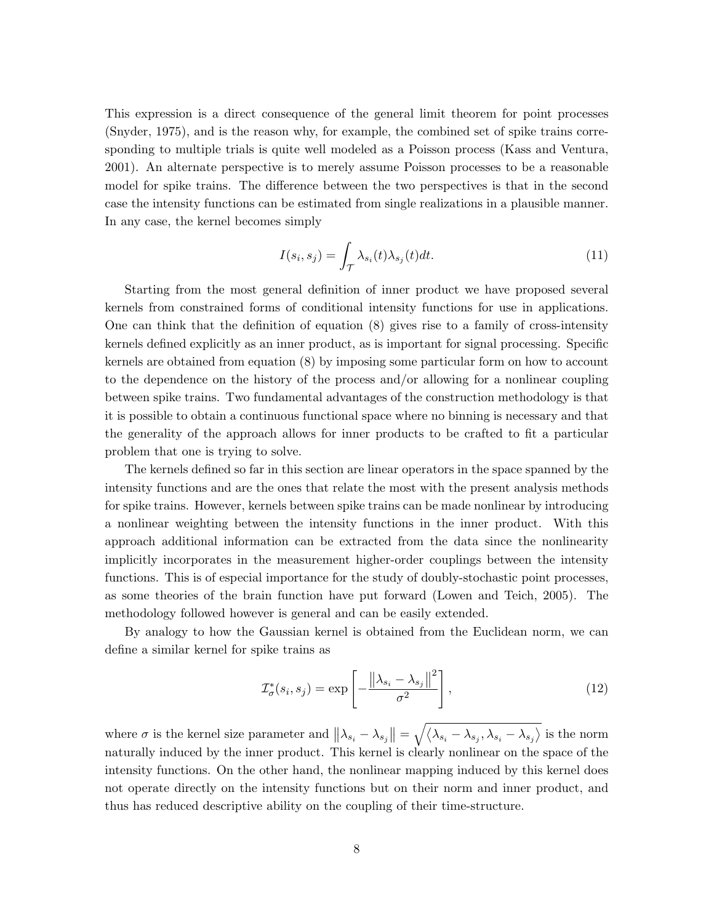This expression is a direct consequence of the general limit theorem for point processes (Snyder, 1975), and is the reason why, for example, the combined set of spike trains corresponding to multiple trials is quite well modeled as a Poisson process (Kass and Ventura, 2001). An alternate perspective is to merely assume Poisson processes to be a reasonable model for spike trains. The difference between the two perspectives is that in the second case the intensity functions can be estimated from single realizations in a plausible manner. In any case, the kernel becomes simply

$$
I(s_i, s_j) = \int_{\mathcal{T}} \lambda_{s_i}(t) \lambda_{s_j}(t) dt.
$$
\n(11)

Starting from the most general definition of inner product we have proposed several kernels from constrained forms of conditional intensity functions for use in applications. One can think that the definition of equation (8) gives rise to a family of cross-intensity kernels defined explicitly as an inner product, as is important for signal processing. Specific kernels are obtained from equation (8) by imposing some particular form on how to account to the dependence on the history of the process and/or allowing for a nonlinear coupling between spike trains. Two fundamental advantages of the construction methodology is that it is possible to obtain a continuous functional space where no binning is necessary and that the generality of the approach allows for inner products to be crafted to fit a particular problem that one is trying to solve.

The kernels defined so far in this section are linear operators in the space spanned by the intensity functions and are the ones that relate the most with the present analysis methods for spike trains. However, kernels between spike trains can be made nonlinear by introducing a nonlinear weighting between the intensity functions in the inner product. With this approach additional information can be extracted from the data since the nonlinearity implicitly incorporates in the measurement higher-order couplings between the intensity functions. This is of especial importance for the study of doubly-stochastic point processes, as some theories of the brain function have put forward (Lowen and Teich, 2005). The methodology followed however is general and can be easily extended.

By analogy to how the Gaussian kernel is obtained from the Euclidean norm, we can define a similar kernel for spike trains as

$$
\mathcal{I}_{\sigma}^{*}(s_{i}, s_{j}) = \exp\left[-\frac{\left\|\lambda_{s_{i}} - \lambda_{s_{j}}\right\|^{2}}{\sigma^{2}}\right],\tag{12}
$$

where  $\sigma$  is the kernel size parameter and  $||\lambda_{s_i} - \lambda_{s_j}|| = \sqrt{\langle \lambda_{s_i} - \lambda_{s_j}, \lambda_{s_i} - \lambda_{s_j} \rangle}$  is the norm naturally induced by the inner product. This kernel is clearly nonlinear on the space of the intensity functions. On the other hand, the nonlinear mapping induced by this kernel does not operate directly on the intensity functions but on their norm and inner product, and thus has reduced descriptive ability on the coupling of their time-structure.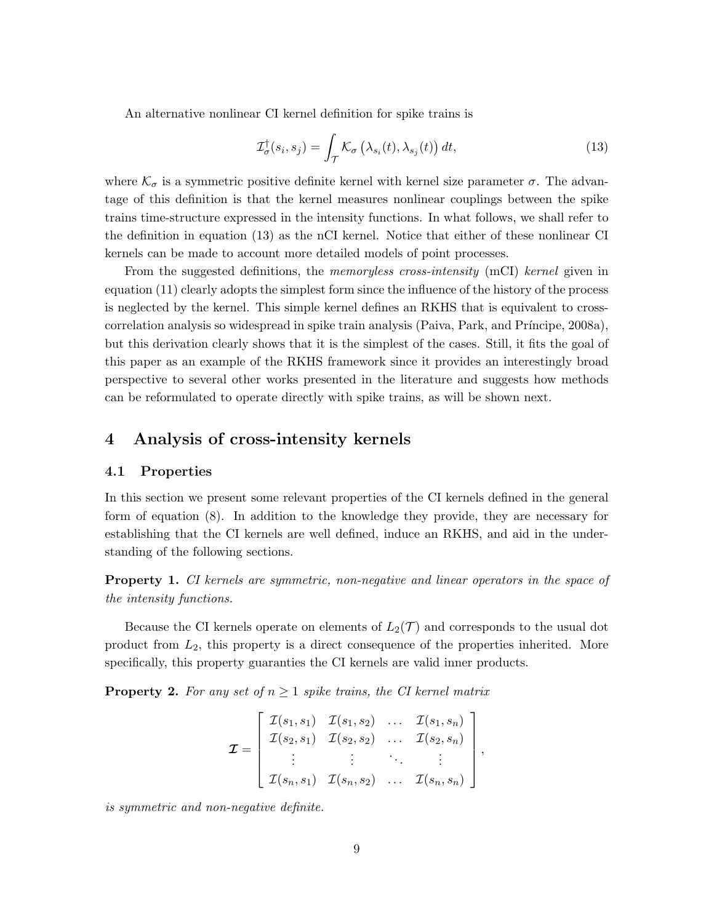An alternative nonlinear CI kernel definition for spike trains is

$$
\mathcal{I}_{\sigma}^{\dagger}(s_i, s_j) = \int_{\mathcal{T}} \mathcal{K}_{\sigma} \left( \lambda_{s_i}(t), \lambda_{s_j}(t) \right) dt, \tag{13}
$$

where  $\mathcal{K}_{\sigma}$  is a symmetric positive definite kernel with kernel size parameter  $\sigma$ . The advantage of this definition is that the kernel measures nonlinear couplings between the spike trains time-structure expressed in the intensity functions. In what follows, we shall refer to the definition in equation (13) as the nCI kernel. Notice that either of these nonlinear CI kernels can be made to account more detailed models of point processes.

From the suggested definitions, the *memoryless cross-intensity* (mCI) *kernel* given in equation (11) clearly adopts the simplest form since the influence of the history of the process is neglected by the kernel. This simple kernel defines an RKHS that is equivalent to crosscorrelation analysis so widespread in spike train analysis (Paiva, Park, and Príncipe, 2008a), but this derivation clearly shows that it is the simplest of the cases. Still, it fits the goal of this paper as an example of the RKHS framework since it provides an interestingly broad perspective to several other works presented in the literature and suggests how methods can be reformulated to operate directly with spike trains, as will be shown next.

## 4 Analysis of cross-intensity kernels

#### 4.1 Properties

In this section we present some relevant properties of the CI kernels defined in the general form of equation (8). In addition to the knowledge they provide, they are necessary for establishing that the CI kernels are well defined, induce an RKHS, and aid in the understanding of the following sections.

Property 1. *CI kernels are symmetric, non-negative and linear operators in the space of the intensity functions.*

Because the CI kernels operate on elements of  $L_2(\mathcal{T})$  and corresponds to the usual dot product from  $L_2$ , this property is a direct consequence of the properties inherited. More specifically, this property guaranties the CI kernels are valid inner products.

**Property 2.** For any set of  $n \geq 1$  spike trains, the CI kernel matrix

$$
\mathcal{I} = \begin{bmatrix} \mathcal{I}(s_1, s_1) & \mathcal{I}(s_1, s_2) & \dots & \mathcal{I}(s_1, s_n) \\ \mathcal{I}(s_2, s_1) & \mathcal{I}(s_2, s_2) & \dots & \mathcal{I}(s_2, s_n) \\ \vdots & \vdots & \ddots & \vdots \\ \mathcal{I}(s_n, s_1) & \mathcal{I}(s_n, s_2) & \dots & \mathcal{I}(s_n, s_n) \end{bmatrix},
$$

*is symmetric and non-negative definite.*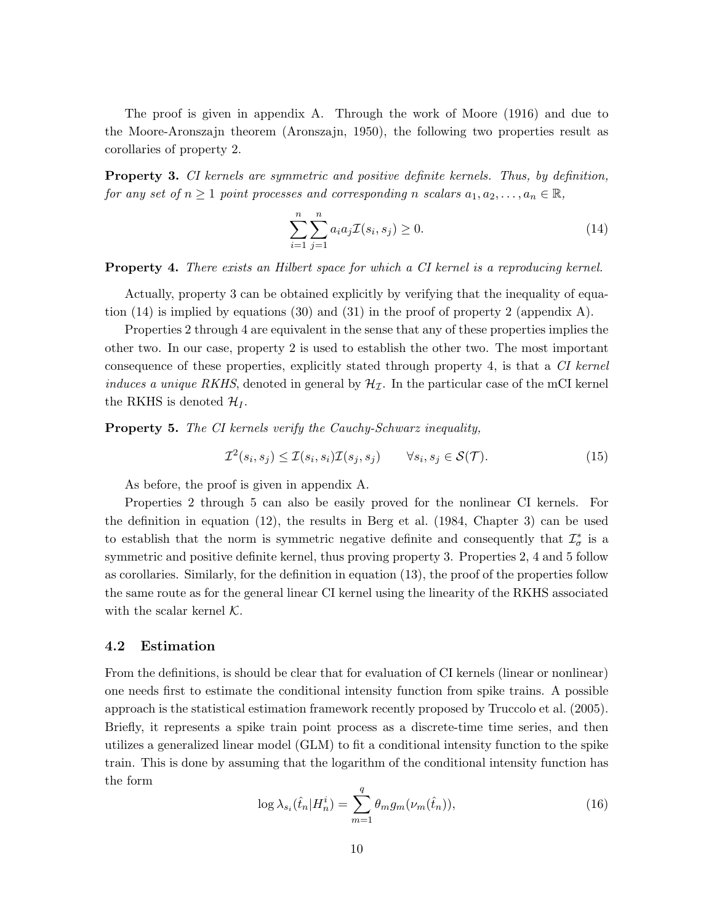The proof is given in appendix A. Through the work of Moore (1916) and due to the Moore-Aronszajn theorem (Aronszajn, 1950), the following two properties result as corollaries of property 2.

Property 3. *CI kernels are symmetric and positive definite kernels. Thus, by definition, for any set of*  $n \geq 1$  *point processes and corresponding* n *scalars*  $a_1, a_2, \ldots, a_n \in \mathbb{R}$ ,

$$
\sum_{i=1}^{n} \sum_{j=1}^{n} a_i a_j \mathcal{I}(s_i, s_j) \ge 0.
$$
 (14)

Property 4. *There exists an Hilbert space for which a CI kernel is a reproducing kernel.*

Actually, property 3 can be obtained explicitly by verifying that the inequality of equation (14) is implied by equations (30) and (31) in the proof of property 2 (appendix A).

Properties 2 through 4 are equivalent in the sense that any of these properties implies the other two. In our case, property 2 is used to establish the other two. The most important consequence of these properties, explicitly stated through property 4, is that a *CI kernel induces a unique RKHS*, denoted in general by  $\mathcal{H}_{\mathcal{I}}$ . In the particular case of the mCI kernel the RKHS is denoted  $\mathcal{H}_I$ .

Property 5. *The CI kernels verify the Cauchy-Schwarz inequality,*

$$
\mathcal{I}^2(s_i, s_j) \le \mathcal{I}(s_i, s_i)\mathcal{I}(s_j, s_j) \qquad \forall s_i, s_j \in \mathcal{S}(\mathcal{T}).
$$
\n
$$
(15)
$$

As before, the proof is given in appendix A.

Properties 2 through 5 can also be easily proved for the nonlinear CI kernels. For the definition in equation (12), the results in Berg et al. (1984, Chapter 3) can be used to establish that the norm is symmetric negative definite and consequently that  $\mathcal{I}_{\sigma}^{*}$  is a symmetric and positive definite kernel, thus proving property 3. Properties 2, 4 and 5 follow as corollaries. Similarly, for the definition in equation (13), the proof of the properties follow the same route as for the general linear CI kernel using the linearity of the RKHS associated with the scalar kernel  $K$ .

#### 4.2 Estimation

From the definitions, is should be clear that for evaluation of CI kernels (linear or nonlinear) one needs first to estimate the conditional intensity function from spike trains. A possible approach is the statistical estimation framework recently proposed by Truccolo et al. (2005). Briefly, it represents a spike train point process as a discrete-time time series, and then utilizes a generalized linear model (GLM) to fit a conditional intensity function to the spike train. This is done by assuming that the logarithm of the conditional intensity function has the form

$$
\log \lambda_{s_i}(\hat{t}_n|H_n^i) = \sum_{m=1}^q \theta_m g_m(\nu_m(\hat{t}_n)),\tag{16}
$$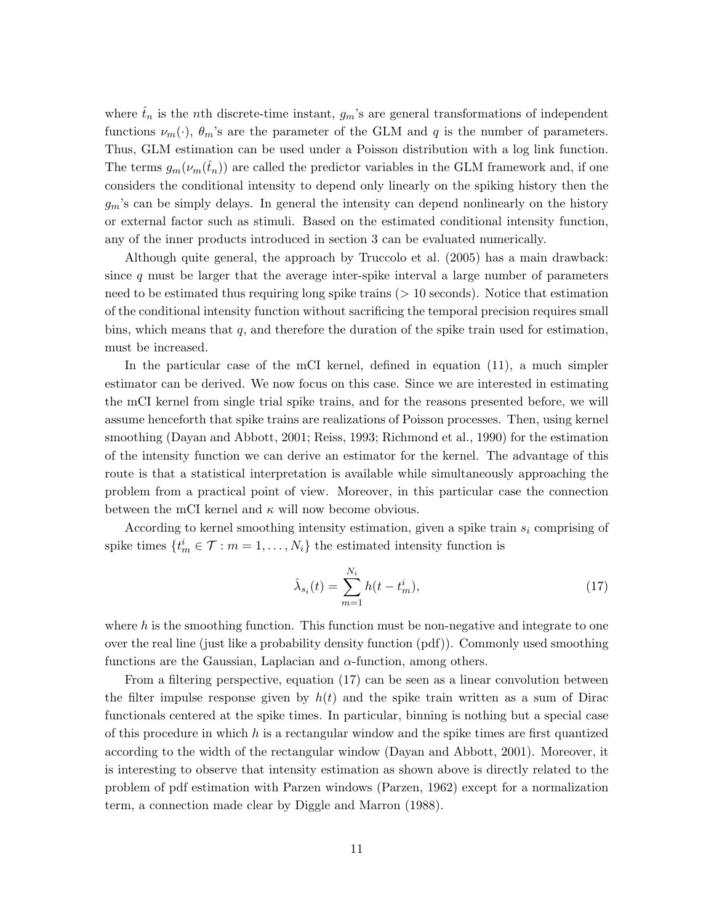where  $\hat{t}_n$  is the nth discrete-time instant,  $g_m$ 's are general transformations of independent functions  $\nu_m(\cdot)$ ,  $\theta_m$ 's are the parameter of the GLM and q is the number of parameters. Thus, GLM estimation can be used under a Poisson distribution with a log link function. The terms  $g_m(\nu_m(\tilde{t}_n))$  are called the predictor variables in the GLM framework and, if one considers the conditional intensity to depend only linearly on the spiking history then the  $g_m$ 's can be simply delays. In general the intensity can depend nonlinearly on the history or external factor such as stimuli. Based on the estimated conditional intensity function, any of the inner products introduced in section 3 can be evaluated numerically.

Although quite general, the approach by Truccolo et al. (2005) has a main drawback: since  $q$  must be larger that the average inter-spike interval a large number of parameters need to be estimated thus requiring long spike trains ( $> 10$  seconds). Notice that estimation of the conditional intensity function without sacrificing the temporal precision requires small bins, which means that  $q$ , and therefore the duration of the spike train used for estimation, must be increased.

In the particular case of the mCI kernel, defined in equation (11), a much simpler estimator can be derived. We now focus on this case. Since we are interested in estimating the mCI kernel from single trial spike trains, and for the reasons presented before, we will assume henceforth that spike trains are realizations of Poisson processes. Then, using kernel smoothing (Dayan and Abbott, 2001; Reiss, 1993; Richmond et al., 1990) for the estimation of the intensity function we can derive an estimator for the kernel. The advantage of this route is that a statistical interpretation is available while simultaneously approaching the problem from a practical point of view. Moreover, in this particular case the connection between the mCI kernel and  $\kappa$  will now become obvious.

According to kernel smoothing intensity estimation, given a spike train  $s_i$  comprising of spike times  $\{t_m^i \in \mathcal{T} : m = 1, \ldots, N_i\}$  the estimated intensity function is

$$
\hat{\lambda}_{s_i}(t) = \sum_{m=1}^{N_i} h(t - t_m^i),
$$
\n(17)

where  $h$  is the smoothing function. This function must be non-negative and integrate to one over the real line (just like a probability density function (pdf)). Commonly used smoothing functions are the Gaussian, Laplacian and  $\alpha$ -function, among others.

From a filtering perspective, equation (17) can be seen as a linear convolution between the filter impulse response given by  $h(t)$  and the spike train written as a sum of Dirac functionals centered at the spike times. In particular, binning is nothing but a special case of this procedure in which  $h$  is a rectangular window and the spike times are first quantized according to the width of the rectangular window (Dayan and Abbott, 2001). Moreover, it is interesting to observe that intensity estimation as shown above is directly related to the problem of pdf estimation with Parzen windows (Parzen, 1962) except for a normalization term, a connection made clear by Diggle and Marron (1988).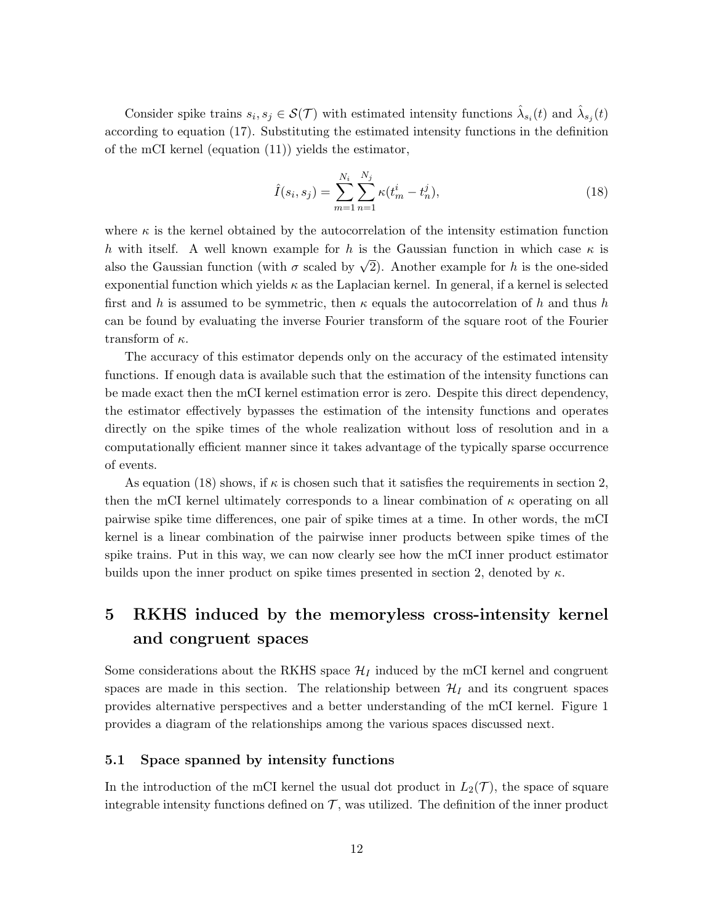Consider spike trains  $s_i, s_j \in \mathcal{S}(\mathcal{T})$  with estimated intensity functions  $\hat{\lambda}_{s_i}(t)$  and  $\hat{\lambda}_{s_j}(t)$ according to equation (17). Substituting the estimated intensity functions in the definition of the mCI kernel (equation (11)) yields the estimator,

$$
\hat{I}(s_i, s_j) = \sum_{m=1}^{N_i} \sum_{n=1}^{N_j} \kappa(t_m^i - t_n^j),
$$
\n(18)

where  $\kappa$  is the kernel obtained by the autocorrelation of the intensity estimation function h with itself. A well known example for h is the Gaussian function in which case  $\kappa$  is also the Gaussian function (with  $\sigma$  scaled by  $\sqrt{2}$ ). Another example for h is the one-sided exponential function which yields  $\kappa$  as the Laplacian kernel. In general, if a kernel is selected first and h is assumed to be symmetric, then  $\kappa$  equals the autocorrelation of h and thus h can be found by evaluating the inverse Fourier transform of the square root of the Fourier transform of  $\kappa$ .

The accuracy of this estimator depends only on the accuracy of the estimated intensity functions. If enough data is available such that the estimation of the intensity functions can be made exact then the mCI kernel estimation error is zero. Despite this direct dependency, the estimator effectively bypasses the estimation of the intensity functions and operates directly on the spike times of the whole realization without loss of resolution and in a computationally efficient manner since it takes advantage of the typically sparse occurrence of events.

As equation (18) shows, if  $\kappa$  is chosen such that it satisfies the requirements in section 2, then the mCI kernel ultimately corresponds to a linear combination of  $\kappa$  operating on all pairwise spike time differences, one pair of spike times at a time. In other words, the mCI kernel is a linear combination of the pairwise inner products between spike times of the spike trains. Put in this way, we can now clearly see how the mCI inner product estimator builds upon the inner product on spike times presented in section 2, denoted by  $\kappa$ .

## 5 RKHS induced by the memoryless cross-intensity kernel and congruent spaces

Some considerations about the RKHS space  $\mathcal{H}_I$  induced by the mCI kernel and congruent spaces are made in this section. The relationship between  $\mathcal{H}_I$  and its congruent spaces provides alternative perspectives and a better understanding of the mCI kernel. Figure 1 provides a diagram of the relationships among the various spaces discussed next.

#### 5.1 Space spanned by intensity functions

In the introduction of the mCI kernel the usual dot product in  $L_2(\mathcal{T})$ , the space of square integrable intensity functions defined on  $\mathcal T$ , was utilized. The definition of the inner product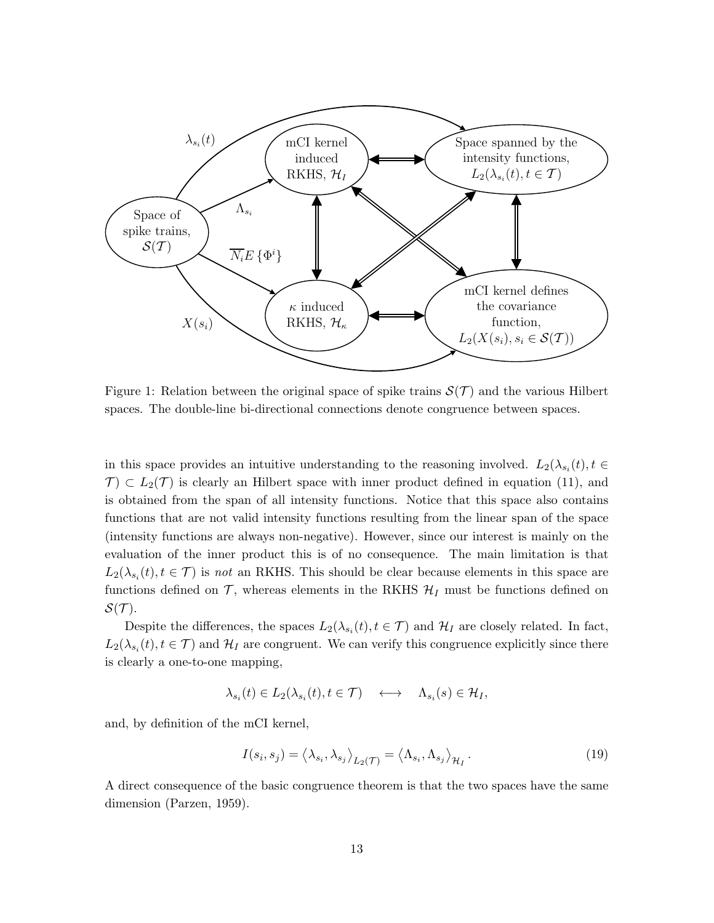

Figure 1: Relation between the original space of spike trains  $\mathcal{S}(\mathcal{T})$  and the various Hilbert spaces. The double-line bi-directional connections denote congruence between spaces.

in this space provides an intuitive understanding to the reasoning involved.  $L_2(\lambda_{s_i}(t), t \in$  $\mathcal{T}$   $\subset$   $L_2(\mathcal{T})$  is clearly an Hilbert space with inner product defined in equation (11), and is obtained from the span of all intensity functions. Notice that this space also contains functions that are not valid intensity functions resulting from the linear span of the space (intensity functions are always non-negative). However, since our interest is mainly on the evaluation of the inner product this is of no consequence. The main limitation is that  $L_2(\lambda_{s_i}(t), t \in \mathcal{T})$  is *not* an RKHS. This should be clear because elements in this space are functions defined on  $\mathcal{T}$ , whereas elements in the RKHS  $\mathcal{H}_I$  must be functions defined on  $\mathcal{S}(\mathcal{T}).$ 

Despite the differences, the spaces  $L_2(\lambda_{s_i}(t), t \in \mathcal{T})$  and  $\mathcal{H}_I$  are closely related. In fact,  $L_2(\lambda_{s_i}(t), t \in \mathcal{T})$  and  $\mathcal{H}_I$  are congruent. We can verify this congruence explicitly since there is clearly a one-to-one mapping,

$$
\lambda_{s_i}(t) \in L_2(\lambda_{s_i}(t), t \in \mathcal{T}) \quad \longleftrightarrow \quad \Lambda_{s_i}(s) \in \mathcal{H}_I,
$$

and, by definition of the mCI kernel,

$$
I(s_i, s_j) = \langle \lambda_{s_i}, \lambda_{s_j} \rangle_{L_2(\mathcal{T})} = \langle \Lambda_{s_i}, \Lambda_{s_j} \rangle_{\mathcal{H}_I}.
$$
\n(19)

A direct consequence of the basic congruence theorem is that the two spaces have the same dimension (Parzen, 1959).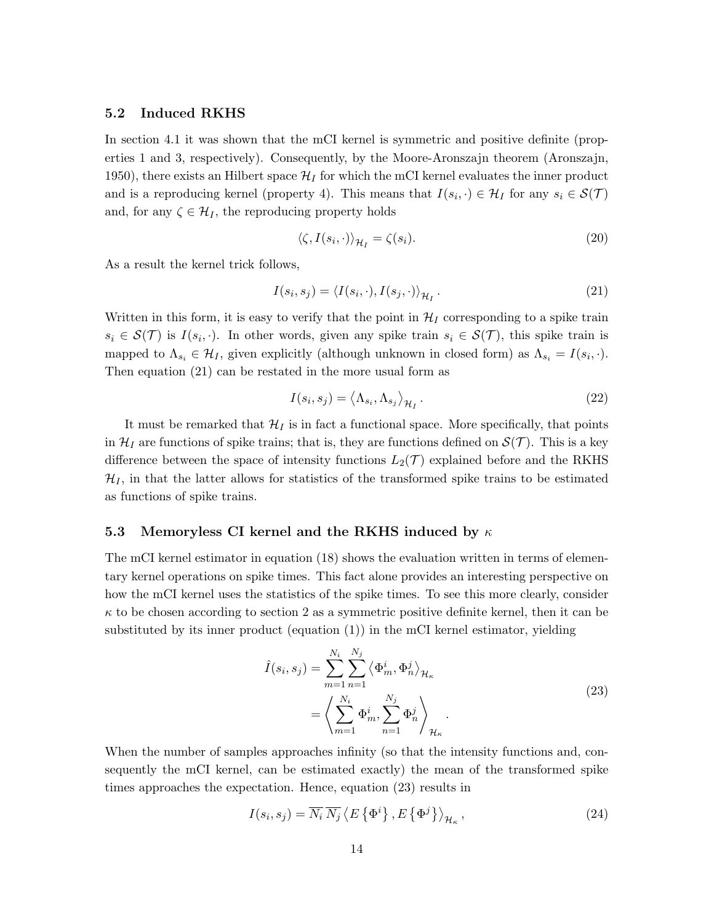#### 5.2 Induced RKHS

In section 4.1 it was shown that the mCI kernel is symmetric and positive definite (properties 1 and 3, respectively). Consequently, by the Moore-Aronszajn theorem (Aronszajn, 1950), there exists an Hilbert space  $\mathcal{H}_I$  for which the mCI kernel evaluates the inner product and is a reproducing kernel (property 4). This means that  $I(s_i, \cdot) \in \mathcal{H}_I$  for any  $s_i \in \mathcal{S}(\mathcal{T})$ and, for any  $\zeta \in \mathcal{H}_I$ , the reproducing property holds

$$
\langle \zeta, I(s_i, \cdot) \rangle_{\mathcal{H}_I} = \zeta(s_i). \tag{20}
$$

As a result the kernel trick follows,

$$
I(s_i, s_j) = \langle I(s_i, \cdot), I(s_j, \cdot) \rangle_{\mathcal{H}_I}.
$$
\n(21)

Written in this form, it is easy to verify that the point in  $\mathcal{H}_I$  corresponding to a spike train  $s_i \in \mathcal{S}(\mathcal{T})$  is  $I(s_i, \cdot)$ . In other words, given any spike train  $s_i \in \mathcal{S}(\mathcal{T})$ , this spike train is mapped to  $\Lambda_{s_i} \in \mathcal{H}_I$ , given explicitly (although unknown in closed form) as  $\Lambda_{s_i} = I(s_i, \cdot)$ . Then equation (21) can be restated in the more usual form as

$$
I(s_i, s_j) = \langle \Lambda_{s_i}, \Lambda_{s_j} \rangle_{\mathcal{H}_I}.
$$
\n(22)

It must be remarked that  $\mathcal{H}_I$  is in fact a functional space. More specifically, that points in  $\mathcal{H}_I$  are functions of spike trains; that is, they are functions defined on  $\mathcal{S}(\mathcal{T})$ . This is a key difference between the space of intensity functions  $L_2(\mathcal{T})$  explained before and the RKHS  $\mathcal{H}_I$ , in that the latter allows for statistics of the transformed spike trains to be estimated as functions of spike trains.

#### 5.3 Memoryless CI kernel and the RKHS induced by  $\kappa$

The mCI kernel estimator in equation (18) shows the evaluation written in terms of elementary kernel operations on spike times. This fact alone provides an interesting perspective on how the mCI kernel uses the statistics of the spike times. To see this more clearly, consider  $\kappa$  to be chosen according to section 2 as a symmetric positive definite kernel, then it can be substituted by its inner product (equation (1)) in the mCI kernel estimator, yielding

$$
\hat{I}(s_i, s_j) = \sum_{m=1}^{N_i} \sum_{n=1}^{N_j} \left\langle \Phi_m^i, \Phi_n^j \right\rangle_{\mathcal{H}_{\kappa}}
$$
\n
$$
= \left\langle \sum_{m=1}^{N_i} \Phi_m^i, \sum_{n=1}^{N_j} \Phi_n^j \right\rangle_{\mathcal{H}_{\kappa}}.
$$
\n(23)

When the number of samples approaches infinity (so that the intensity functions and, consequently the mCI kernel, can be estimated exactly) the mean of the transformed spike times approaches the expectation. Hence, equation (23) results in

$$
I(s_i, s_j) = \overline{N_i} \, \overline{N_j} \left\langle E\left\{\Phi^i\right\}, E\left\{\Phi^j\right\} \right\rangle_{\mathcal{H}_\kappa},\tag{24}
$$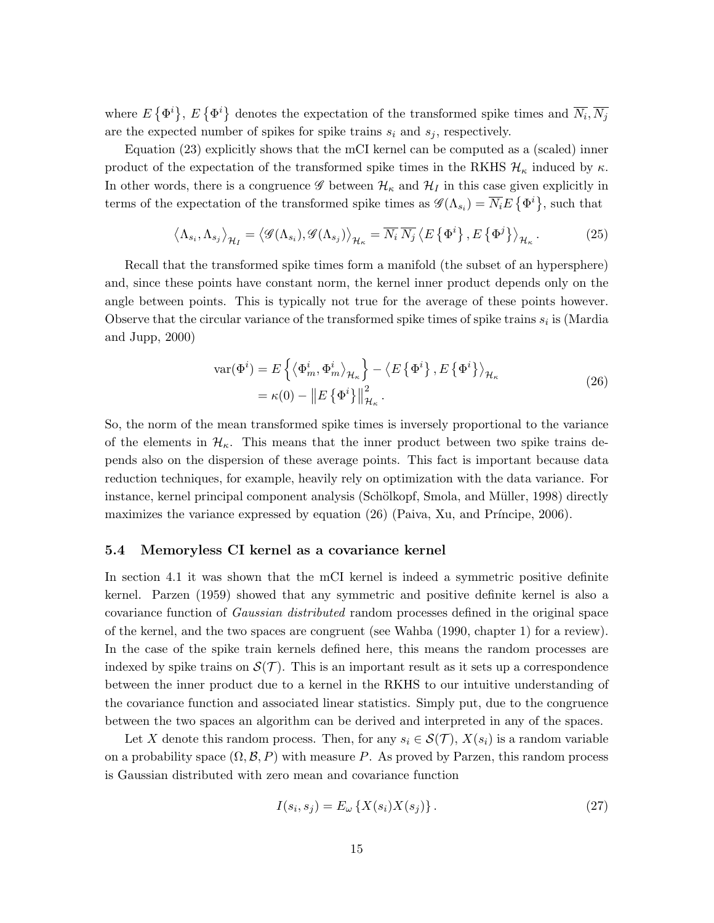where  $E\{\Phi^i\}, E\{\Phi^i\}$  denotes the expectation of the transformed spike times and  $\overline{N_i}, \overline{N_j}$ are the expected number of spikes for spike trains  $s_i$  and  $s_j$ , respectively.

Equation (23) explicitly shows that the mCI kernel can be computed as a (scaled) inner product of the expectation of the transformed spike times in the RKHS  $\mathcal{H}_{\kappa}$  induced by  $\kappa$ . In other words, there is a congruence  $\mathscr G$  between  $\mathcal H_\kappa$  and  $\mathcal H_I$  in this case given explicitly in terms of the expectation of the transformed spike times as  $\mathscr{G}(\Lambda_{s_i}) = \overline{N_i} E(\Phi^i)$ , such that

$$
\left\langle \Lambda_{s_i}, \Lambda_{s_j} \right\rangle_{\mathcal{H}_I} = \left\langle \mathcal{G}(\Lambda_{s_i}), \mathcal{G}(\Lambda_{s_j}) \right\rangle_{\mathcal{H}_\kappa} = \overline{N_i} \, \overline{N_j} \left\langle E \left\{ \Phi^i \right\}, E \left\{ \Phi^j \right\} \right\rangle_{\mathcal{H}_\kappa} . \tag{25}
$$

Recall that the transformed spike times form a manifold (the subset of an hypersphere) and, since these points have constant norm, the kernel inner product depends only on the angle between points. This is typically not true for the average of these points however. Observe that the circular variance of the transformed spike times of spike trains  $s_i$  is (Mardia and Jupp, 2000)

$$
\begin{split} \text{var}(\Phi^i) &= E\left\{ \left\langle \Phi^i_m, \Phi^i_m \right\rangle_{\mathcal{H}_\kappa} \right\} - \left\langle E\left\{ \Phi^i \right\}, E\left\{ \Phi^i \right\} \right\rangle_{\mathcal{H}_\kappa} \\ &= \kappa(0) - \left\| E\left\{ \Phi^i \right\} \right\|_{\mathcal{H}_\kappa}^2. \end{split} \tag{26}
$$

So, the norm of the mean transformed spike times is inversely proportional to the variance of the elements in  $\mathcal{H}_{\kappa}$ . This means that the inner product between two spike trains depends also on the dispersion of these average points. This fact is important because data reduction techniques, for example, heavily rely on optimization with the data variance. For instance, kernel principal component analysis (Schölkopf, Smola, and Müller, 1998) directly maximizes the variance expressed by equation  $(26)$  (Paiva, Xu, and Príncipe, 2006).

#### 5.4 Memoryless CI kernel as a covariance kernel

In section 4.1 it was shown that the mCI kernel is indeed a symmetric positive definite kernel. Parzen (1959) showed that any symmetric and positive definite kernel is also a covariance function of *Gaussian distributed* random processes defined in the original space of the kernel, and the two spaces are congruent (see Wahba (1990, chapter 1) for a review). In the case of the spike train kernels defined here, this means the random processes are indexed by spike trains on  $\mathcal{S}(\mathcal{T})$ . This is an important result as it sets up a correspondence between the inner product due to a kernel in the RKHS to our intuitive understanding of the covariance function and associated linear statistics. Simply put, due to the congruence between the two spaces an algorithm can be derived and interpreted in any of the spaces.

Let X denote this random process. Then, for any  $s_i \in \mathcal{S}(\mathcal{T})$ ,  $X(s_i)$  is a random variable on a probability space  $(\Omega, \mathcal{B}, P)$  with measure P. As proved by Parzen, this random process is Gaussian distributed with zero mean and covariance function

$$
I(s_i, s_j) = E_{\omega} \left\{ X(s_i) X(s_j) \right\}.
$$
\n
$$
(27)
$$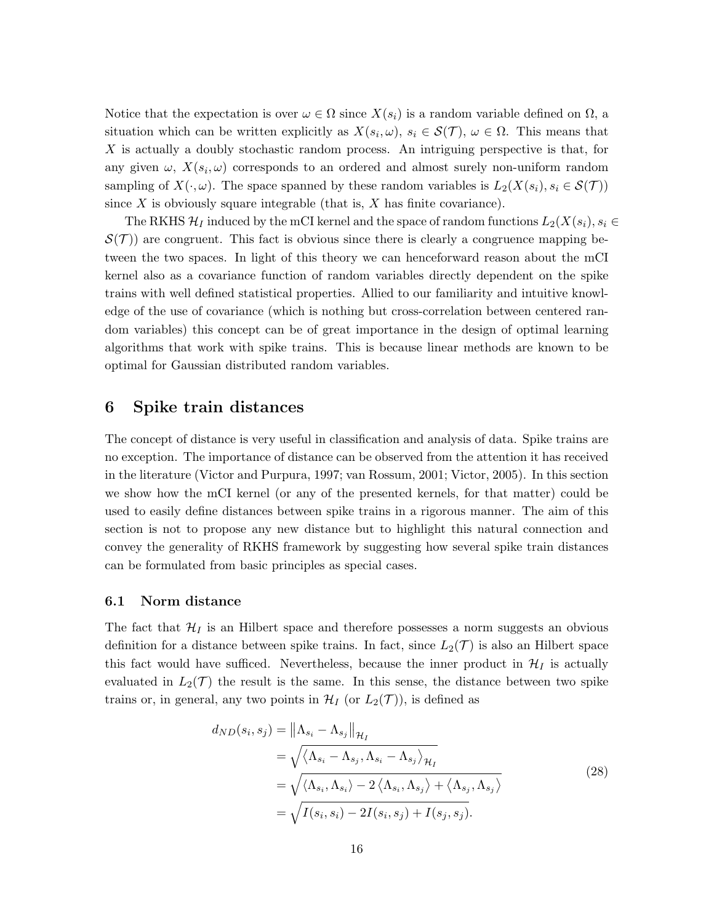Notice that the expectation is over  $\omega \in \Omega$  since  $X(s_i)$  is a random variable defined on  $\Omega$ , a situation which can be written explicitly as  $X(s_i, \omega)$ ,  $s_i \in \mathcal{S}(\mathcal{T})$ ,  $\omega \in \Omega$ . This means that X is actually a doubly stochastic random process. An intriguing perspective is that, for any given  $\omega$ ,  $X(s_i, \omega)$  corresponds to an ordered and almost surely non-uniform random sampling of  $X(\cdot,\omega)$ . The space spanned by these random variables is  $L_2(X(s_i), s_i \in S(\mathcal{T}))$ since  $X$  is obviously square integrable (that is,  $X$  has finite covariance).

The RKHS  $\mathcal{H}_I$  induced by the mCI kernel and the space of random functions  $L_2(X(s_i), s_i \in$  $\mathcal{S}(\mathcal{T})$  are congruent. This fact is obvious since there is clearly a congruence mapping between the two spaces. In light of this theory we can henceforward reason about the mCI kernel also as a covariance function of random variables directly dependent on the spike trains with well defined statistical properties. Allied to our familiarity and intuitive knowledge of the use of covariance (which is nothing but cross-correlation between centered random variables) this concept can be of great importance in the design of optimal learning algorithms that work with spike trains. This is because linear methods are known to be optimal for Gaussian distributed random variables.

## 6 Spike train distances

The concept of distance is very useful in classification and analysis of data. Spike trains are no exception. The importance of distance can be observed from the attention it has received in the literature (Victor and Purpura, 1997; van Rossum, 2001; Victor, 2005). In this section we show how the mCI kernel (or any of the presented kernels, for that matter) could be used to easily define distances between spike trains in a rigorous manner. The aim of this section is not to propose any new distance but to highlight this natural connection and convey the generality of RKHS framework by suggesting how several spike train distances can be formulated from basic principles as special cases.

#### 6.1 Norm distance

The fact that  $\mathcal{H}_I$  is an Hilbert space and therefore possesses a norm suggests an obvious definition for a distance between spike trains. In fact, since  $L_2(\mathcal{T})$  is also an Hilbert space this fact would have sufficed. Nevertheless, because the inner product in  $\mathcal{H}_I$  is actually evaluated in  $L_2(\mathcal{T})$  the result is the same. In this sense, the distance between two spike trains or, in general, any two points in  $\mathcal{H}_I$  (or  $L_2(\mathcal{T})$ ), is defined as

$$
d_{ND}(s_i, s_j) = \left\|\Lambda_{s_i} - \Lambda_{s_j}\right\|_{\mathcal{H}_I}
$$
  
\n
$$
= \sqrt{\left\langle \Lambda_{s_i} - \Lambda_{s_j}, \Lambda_{s_i} - \Lambda_{s_j} \right\rangle_{\mathcal{H}_I}}
$$
  
\n
$$
= \sqrt{\left\langle \Lambda_{s_i}, \Lambda_{s_i} \right\rangle - 2\left\langle \Lambda_{s_i}, \Lambda_{s_j} \right\rangle + \left\langle \Lambda_{s_j}, \Lambda_{s_j} \right\rangle}
$$
  
\n
$$
= \sqrt{I(s_i, s_i) - 2I(s_i, s_j) + I(s_j, s_j)}.
$$
\n(28)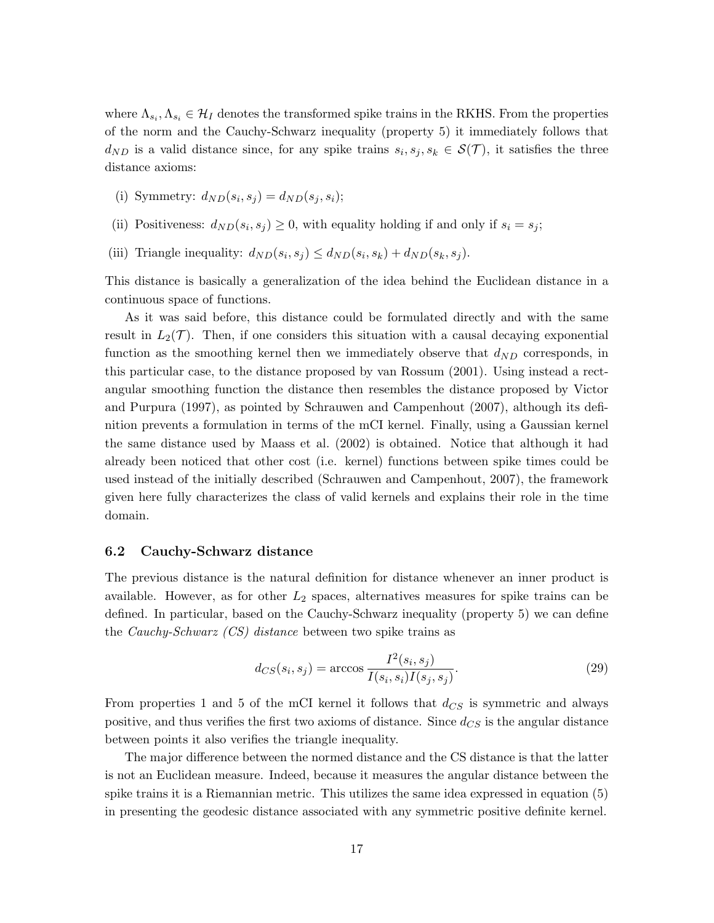where  $\Lambda_{s_i}, \Lambda_{s_i} \in \mathcal{H}_I$  denotes the transformed spike trains in the RKHS. From the properties of the norm and the Cauchy-Schwarz inequality (property 5) it immediately follows that  $d_{ND}$  is a valid distance since, for any spike trains  $s_i, s_j, s_k \in \mathcal{S}(\mathcal{T})$ , it satisfies the three distance axioms:

- (i) Symmetry:  $d_{ND}(s_i, s_j) = d_{ND}(s_j, s_i);$
- (ii) Positiveness:  $d_{ND}(s_i, s_j) \geq 0$ , with equality holding if and only if  $s_i = s_j$ ;
- (iii) Triangle inequality:  $d_{ND}(s_i, s_j) \leq d_{ND}(s_i, s_k) + d_{ND}(s_k, s_j)$ .

This distance is basically a generalization of the idea behind the Euclidean distance in a continuous space of functions.

As it was said before, this distance could be formulated directly and with the same result in  $L_2(\mathcal{T})$ . Then, if one considers this situation with a causal decaying exponential function as the smoothing kernel then we immediately observe that  $d_{ND}$  corresponds, in this particular case, to the distance proposed by van Rossum (2001). Using instead a rectangular smoothing function the distance then resembles the distance proposed by Victor and Purpura (1997), as pointed by Schrauwen and Campenhout (2007), although its definition prevents a formulation in terms of the mCI kernel. Finally, using a Gaussian kernel the same distance used by Maass et al. (2002) is obtained. Notice that although it had already been noticed that other cost (i.e. kernel) functions between spike times could be used instead of the initially described (Schrauwen and Campenhout, 2007), the framework given here fully characterizes the class of valid kernels and explains their role in the time domain.

#### 6.2 Cauchy-Schwarz distance

The previous distance is the natural definition for distance whenever an inner product is available. However, as for other  $L_2$  spaces, alternatives measures for spike trains can be defined. In particular, based on the Cauchy-Schwarz inequality (property 5) we can define the *Cauchy-Schwarz (CS) distance* between two spike trains as

$$
d_{CS}(s_i, s_j) = \arccos \frac{I^2(s_i, s_j)}{I(s_i, s_i)I(s_j, s_j)}.
$$
\n(29)

From properties 1 and 5 of the mCI kernel it follows that  $d_{CS}$  is symmetric and always positive, and thus verifies the first two axioms of distance. Since  $d_{CS}$  is the angular distance between points it also verifies the triangle inequality.

The major difference between the normed distance and the CS distance is that the latter is not an Euclidean measure. Indeed, because it measures the angular distance between the spike trains it is a Riemannian metric. This utilizes the same idea expressed in equation (5) in presenting the geodesic distance associated with any symmetric positive definite kernel.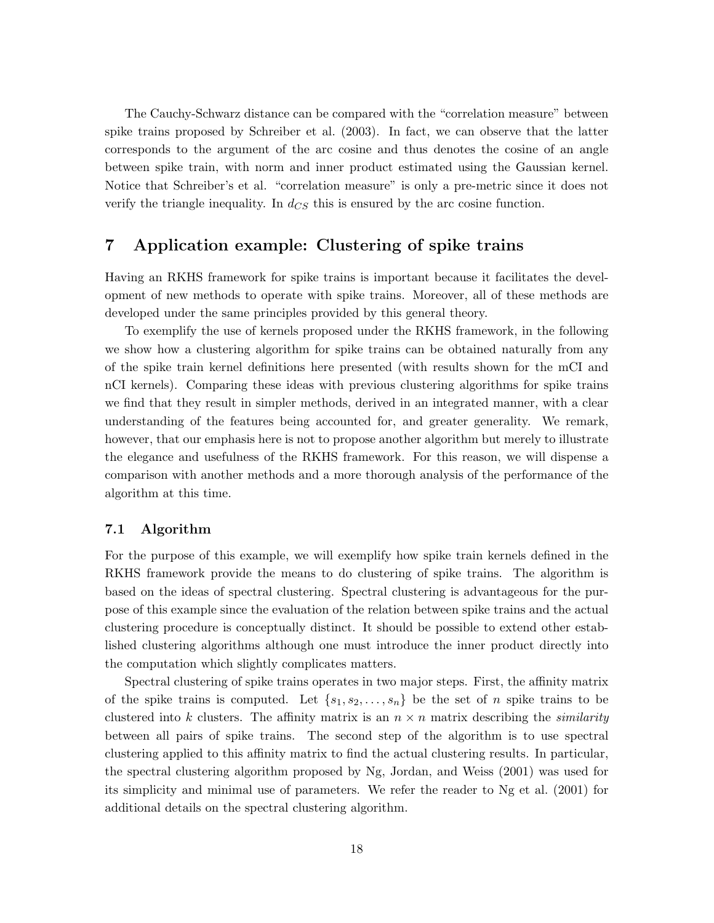The Cauchy-Schwarz distance can be compared with the "correlation measure" between spike trains proposed by Schreiber et al. (2003). In fact, we can observe that the latter corresponds to the argument of the arc cosine and thus denotes the cosine of an angle between spike train, with norm and inner product estimated using the Gaussian kernel. Notice that Schreiber's et al. "correlation measure" is only a pre-metric since it does not verify the triangle inequality. In  $d_{CS}$  this is ensured by the arc cosine function.

## 7 Application example: Clustering of spike trains

Having an RKHS framework for spike trains is important because it facilitates the development of new methods to operate with spike trains. Moreover, all of these methods are developed under the same principles provided by this general theory.

To exemplify the use of kernels proposed under the RKHS framework, in the following we show how a clustering algorithm for spike trains can be obtained naturally from any of the spike train kernel definitions here presented (with results shown for the mCI and nCI kernels). Comparing these ideas with previous clustering algorithms for spike trains we find that they result in simpler methods, derived in an integrated manner, with a clear understanding of the features being accounted for, and greater generality. We remark, however, that our emphasis here is not to propose another algorithm but merely to illustrate the elegance and usefulness of the RKHS framework. For this reason, we will dispense a comparison with another methods and a more thorough analysis of the performance of the algorithm at this time.

#### 7.1 Algorithm

For the purpose of this example, we will exemplify how spike train kernels defined in the RKHS framework provide the means to do clustering of spike trains. The algorithm is based on the ideas of spectral clustering. Spectral clustering is advantageous for the purpose of this example since the evaluation of the relation between spike trains and the actual clustering procedure is conceptually distinct. It should be possible to extend other established clustering algorithms although one must introduce the inner product directly into the computation which slightly complicates matters.

Spectral clustering of spike trains operates in two major steps. First, the affinity matrix of the spike trains is computed. Let  $\{s_1, s_2, \ldots, s_n\}$  be the set of n spike trains to be clustered into k clusters. The affinity matrix is an  $n \times n$  matrix describing the *similarity* between all pairs of spike trains. The second step of the algorithm is to use spectral clustering applied to this affinity matrix to find the actual clustering results. In particular, the spectral clustering algorithm proposed by Ng, Jordan, and Weiss (2001) was used for its simplicity and minimal use of parameters. We refer the reader to Ng et al. (2001) for additional details on the spectral clustering algorithm.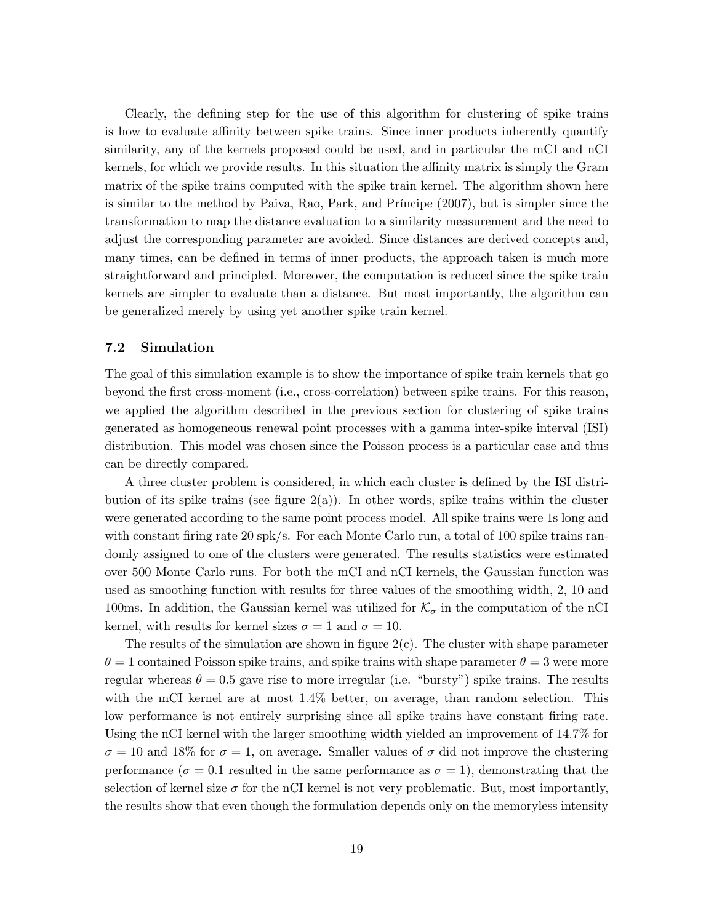Clearly, the defining step for the use of this algorithm for clustering of spike trains is how to evaluate affinity between spike trains. Since inner products inherently quantify similarity, any of the kernels proposed could be used, and in particular the mCI and nCI kernels, for which we provide results. In this situation the affinity matrix is simply the Gram matrix of the spike trains computed with the spike train kernel. The algorithm shown here is similar to the method by Paiva, Rao, Park, and Príncipe (2007), but is simpler since the transformation to map the distance evaluation to a similarity measurement and the need to adjust the corresponding parameter are avoided. Since distances are derived concepts and, many times, can be defined in terms of inner products, the approach taken is much more straightforward and principled. Moreover, the computation is reduced since the spike train kernels are simpler to evaluate than a distance. But most importantly, the algorithm can be generalized merely by using yet another spike train kernel.

#### 7.2 Simulation

The goal of this simulation example is to show the importance of spike train kernels that go beyond the first cross-moment (i.e., cross-correlation) between spike trains. For this reason, we applied the algorithm described in the previous section for clustering of spike trains generated as homogeneous renewal point processes with a gamma inter-spike interval (ISI) distribution. This model was chosen since the Poisson process is a particular case and thus can be directly compared.

A three cluster problem is considered, in which each cluster is defined by the ISI distribution of its spike trains (see figure  $2(a)$ ). In other words, spike trains within the cluster were generated according to the same point process model. All spike trains were 1s long and with constant firing rate 20 spk/s. For each Monte Carlo run, a total of 100 spike trains randomly assigned to one of the clusters were generated. The results statistics were estimated over 500 Monte Carlo runs. For both the mCI and nCI kernels, the Gaussian function was used as smoothing function with results for three values of the smoothing width, 2, 10 and 100ms. In addition, the Gaussian kernel was utilized for  $\mathcal{K}_{\sigma}$  in the computation of the nCI kernel, with results for kernel sizes  $\sigma = 1$  and  $\sigma = 10$ .

The results of the simulation are shown in figure  $2(c)$ . The cluster with shape parameter  $\theta = 1$  contained Poisson spike trains, and spike trains with shape parameter  $\theta = 3$  were more regular whereas  $\theta = 0.5$  gave rise to more irregular (i.e. "bursty") spike trains. The results with the mCI kernel are at most 1.4% better, on average, than random selection. This low performance is not entirely surprising since all spike trains have constant firing rate. Using the nCI kernel with the larger smoothing width yielded an improvement of 14.7% for  $\sigma = 10$  and 18% for  $\sigma = 1$ , on average. Smaller values of  $\sigma$  did not improve the clustering performance ( $\sigma = 0.1$  resulted in the same performance as  $\sigma = 1$ ), demonstrating that the selection of kernel size  $\sigma$  for the nCI kernel is not very problematic. But, most importantly, the results show that even though the formulation depends only on the memoryless intensity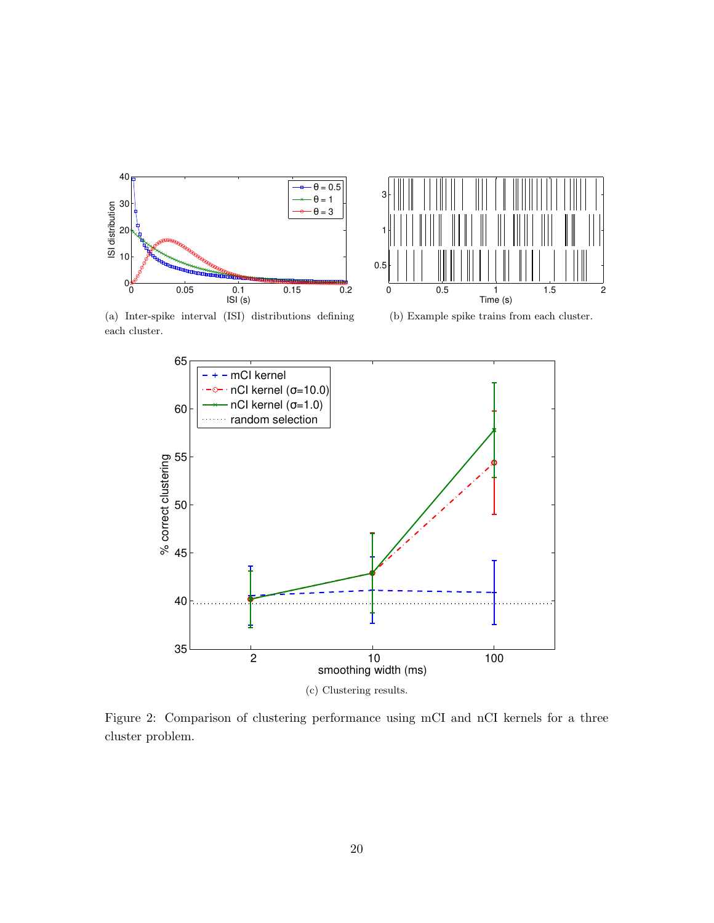



(a) Inter-spike interval (ISI) distributions defining each cluster.

(b) Example spike trains from each cluster.



(c) Clustering results.

Figure 2: Comparison of clustering performance using mCI and nCI kernels for a three cluster problem.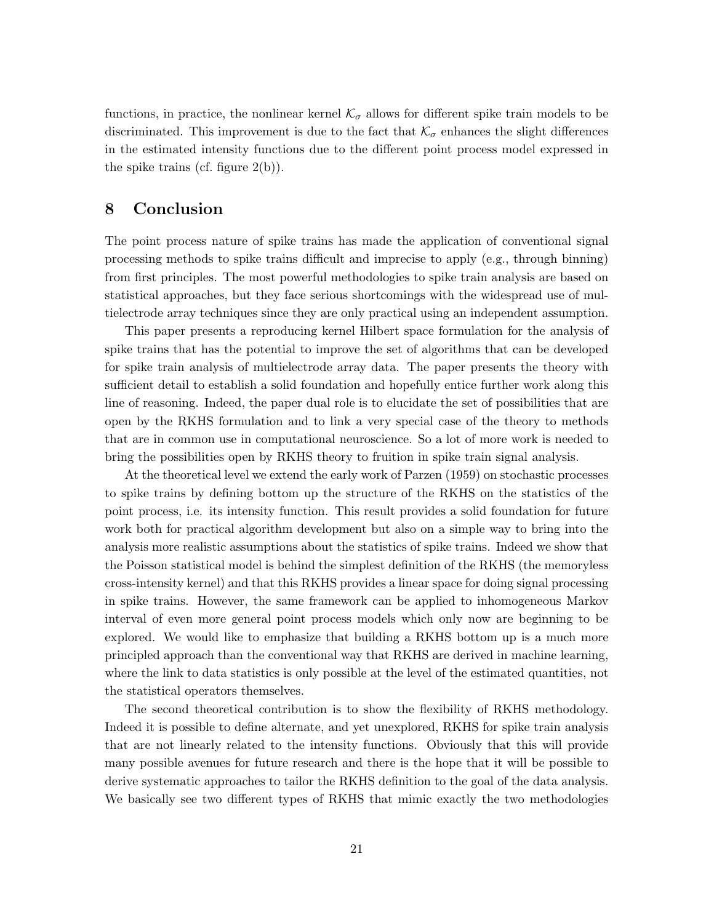functions, in practice, the nonlinear kernel  $\mathcal{K}_{\sigma}$  allows for different spike train models to be discriminated. This improvement is due to the fact that  $\mathcal{K}_{\sigma}$  enhances the slight differences in the estimated intensity functions due to the different point process model expressed in the spike trains (cf. figure  $2(b)$ ).

## 8 Conclusion

The point process nature of spike trains has made the application of conventional signal processing methods to spike trains difficult and imprecise to apply (e.g., through binning) from first principles. The most powerful methodologies to spike train analysis are based on statistical approaches, but they face serious shortcomings with the widespread use of multielectrode array techniques since they are only practical using an independent assumption.

This paper presents a reproducing kernel Hilbert space formulation for the analysis of spike trains that has the potential to improve the set of algorithms that can be developed for spike train analysis of multielectrode array data. The paper presents the theory with sufficient detail to establish a solid foundation and hopefully entice further work along this line of reasoning. Indeed, the paper dual role is to elucidate the set of possibilities that are open by the RKHS formulation and to link a very special case of the theory to methods that are in common use in computational neuroscience. So a lot of more work is needed to bring the possibilities open by RKHS theory to fruition in spike train signal analysis.

At the theoretical level we extend the early work of Parzen (1959) on stochastic processes to spike trains by defining bottom up the structure of the RKHS on the statistics of the point process, i.e. its intensity function. This result provides a solid foundation for future work both for practical algorithm development but also on a simple way to bring into the analysis more realistic assumptions about the statistics of spike trains. Indeed we show that the Poisson statistical model is behind the simplest definition of the RKHS (the memoryless cross-intensity kernel) and that this RKHS provides a linear space for doing signal processing in spike trains. However, the same framework can be applied to inhomogeneous Markov interval of even more general point process models which only now are beginning to be explored. We would like to emphasize that building a RKHS bottom up is a much more principled approach than the conventional way that RKHS are derived in machine learning, where the link to data statistics is only possible at the level of the estimated quantities, not the statistical operators themselves.

The second theoretical contribution is to show the flexibility of RKHS methodology. Indeed it is possible to define alternate, and yet unexplored, RKHS for spike train analysis that are not linearly related to the intensity functions. Obviously that this will provide many possible avenues for future research and there is the hope that it will be possible to derive systematic approaches to tailor the RKHS definition to the goal of the data analysis. We basically see two different types of RKHS that mimic exactly the two methodologies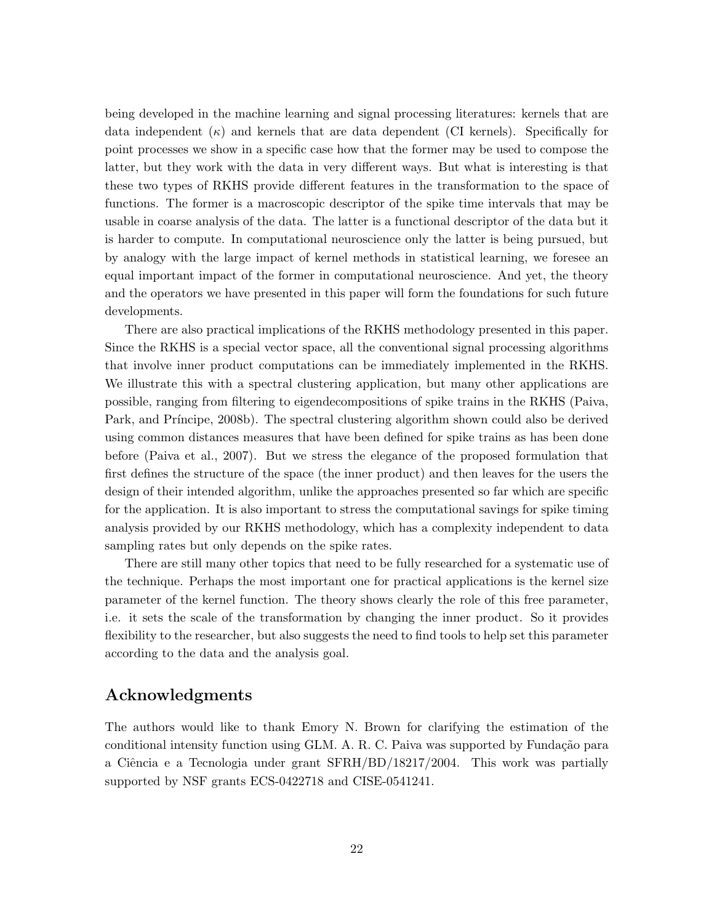being developed in the machine learning and signal processing literatures: kernels that are data independent  $(\kappa)$  and kernels that are data dependent (CI kernels). Specifically for point processes we show in a specific case how that the former may be used to compose the latter, but they work with the data in very different ways. But what is interesting is that these two types of RKHS provide different features in the transformation to the space of functions. The former is a macroscopic descriptor of the spike time intervals that may be usable in coarse analysis of the data. The latter is a functional descriptor of the data but it is harder to compute. In computational neuroscience only the latter is being pursued, but by analogy with the large impact of kernel methods in statistical learning, we foresee an equal important impact of the former in computational neuroscience. And yet, the theory and the operators we have presented in this paper will form the foundations for such future developments.

There are also practical implications of the RKHS methodology presented in this paper. Since the RKHS is a special vector space, all the conventional signal processing algorithms that involve inner product computations can be immediately implemented in the RKHS. We illustrate this with a spectral clustering application, but many other applications are possible, ranging from filtering to eigendecompositions of spike trains in the RKHS (Paiva, Park, and Príncipe, 2008b). The spectral clustering algorithm shown could also be derived using common distances measures that have been defined for spike trains as has been done before (Paiva et al., 2007). But we stress the elegance of the proposed formulation that first defines the structure of the space (the inner product) and then leaves for the users the design of their intended algorithm, unlike the approaches presented so far which are specific for the application. It is also important to stress the computational savings for spike timing analysis provided by our RKHS methodology, which has a complexity independent to data sampling rates but only depends on the spike rates.

There are still many other topics that need to be fully researched for a systematic use of the technique. Perhaps the most important one for practical applications is the kernel size parameter of the kernel function. The theory shows clearly the role of this free parameter, i.e. it sets the scale of the transformation by changing the inner product. So it provides flexibility to the researcher, but also suggests the need to find tools to help set this parameter according to the data and the analysis goal.

## Acknowledgments

The authors would like to thank Emory N. Brown for clarifying the estimation of the conditional intensity function using GLM. A. R. C. Paiva was supported by Fundação para a Ciência e a Tecnologia under grant SFRH/BD/18217/2004. This work was partially supported by NSF grants ECS-0422718 and CISE-0541241.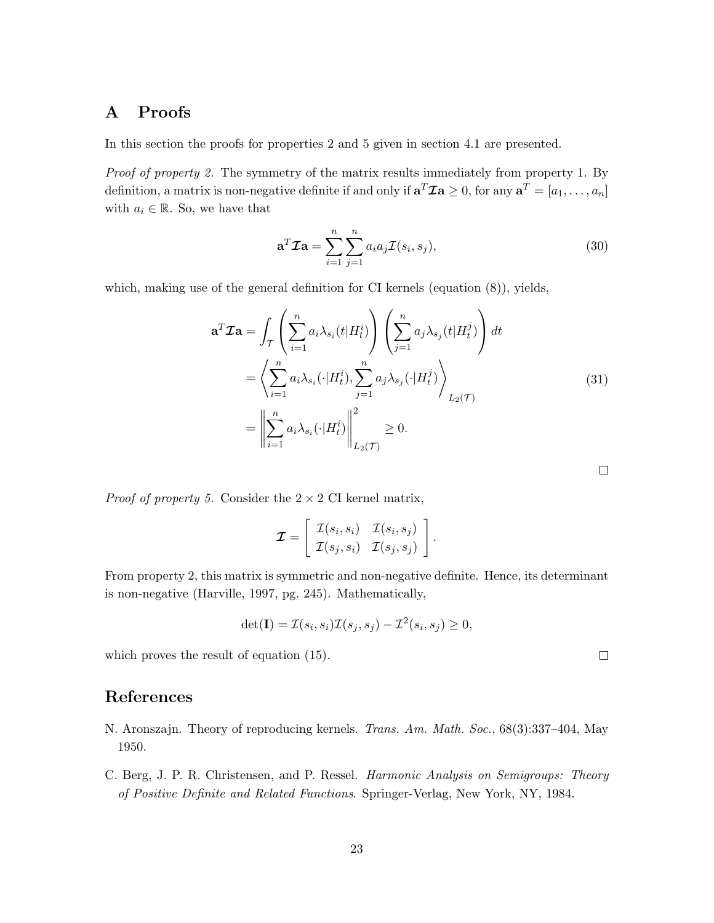## A Proofs

In this section the proofs for properties 2 and 5 given in section 4.1 are presented.

*Proof of property 2.* The symmetry of the matrix results immediately from property 1. By definition, a matrix is non-negative definite if and only if  $\mathbf{a}^T \mathcal{I} \mathbf{a} \geq 0$ , for any  $\mathbf{a}^T = [a_1, \ldots, a_n]$ with  $a_i \in \mathbb{R}$ . So, we have that

$$
\mathbf{a}^T \mathcal{I} \mathbf{a} = \sum_{i=1}^n \sum_{j=1}^n a_i a_j \mathcal{I}(s_i, s_j), \tag{30}
$$

which, making use of the general definition for CI kernels (equation (8)), yields,

$$
\mathbf{a}^T \mathcal{I} \mathbf{a} = \int_{\mathcal{T}} \left( \sum_{i=1}^n a_i \lambda_{s_i}(t) H_t^i \right) \left( \sum_{j=1}^n a_j \lambda_{s_j}(t) H_t^j \right) dt
$$
  
\n
$$
= \left\langle \sum_{i=1}^n a_i \lambda_{s_i}(\cdot) H_t^i \right\rangle, \sum_{j=1}^n a_j \lambda_{s_j}(\cdot) H_t^j \rangle \Bigg\rangle_{L_2(\mathcal{T})}
$$
  
\n
$$
= \left\| \sum_{i=1}^n a_i \lambda_{s_i}(\cdot) H_t^i \right\|_{L_2(\mathcal{T})}^2 \ge 0.
$$

*Proof of property 5.* Consider the  $2 \times 2$  CI kernel matrix,

$$
\mathcal{I} = \left[ \begin{array}{cc} \mathcal{I}(s_i, s_i) & \mathcal{I}(s_i, s_j) \\ \mathcal{I}(s_j, s_i) & \mathcal{I}(s_j, s_j) \end{array} \right].
$$

From property 2, this matrix is symmetric and non-negative definite. Hence, its determinant is non-negative (Harville, 1997, pg. 245). Mathematically,

$$
\det(\mathbf{I}) = \mathcal{I}(s_i, s_i)\mathcal{I}(s_j, s_j) - \mathcal{I}^2(s_i, s_j) \ge 0,
$$

which proves the result of equation (15).

## References

- N. Aronszajn. Theory of reproducing kernels. *Trans. Am. Math. Soc.*, 68(3):337–404, May 1950.
- C. Berg, J. P. R. Christensen, and P. Ressel. *Harmonic Analysis on Semigroups: Theory of Positive Definite and Related Functions*. Springer-Verlag, New York, NY, 1984.

 $\Box$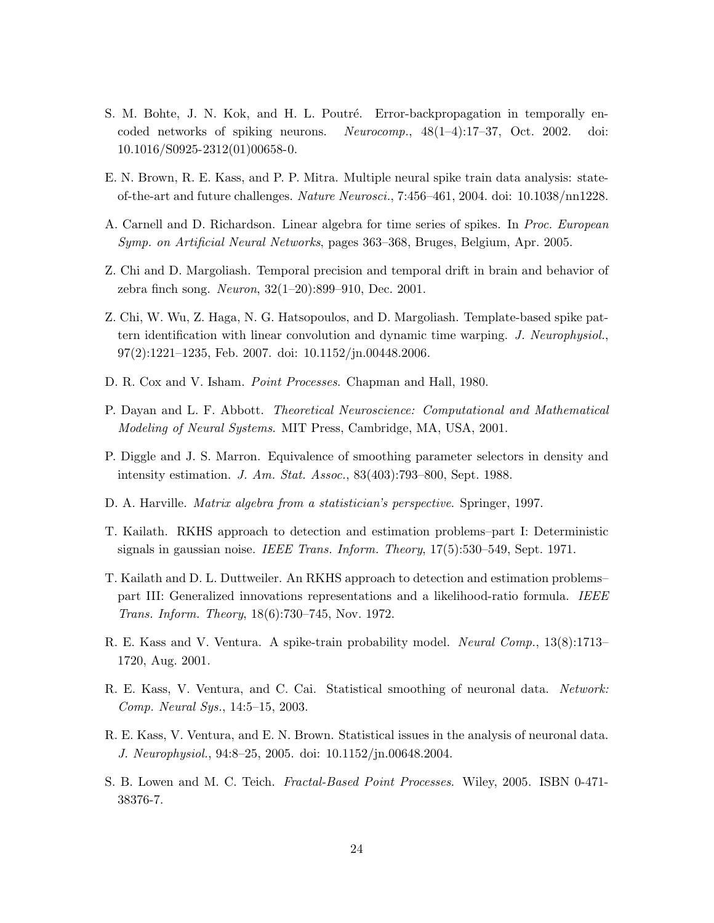- S. M. Bohte, J. N. Kok, and H. L. Poutré. Error-backpropagation in temporally encoded networks of spiking neurons. *Neurocomp.*, 48(1–4):17–37, Oct. 2002. doi: 10.1016/S0925-2312(01)00658-0.
- E. N. Brown, R. E. Kass, and P. P. Mitra. Multiple neural spike train data analysis: stateof-the-art and future challenges. *Nature Neurosci.*, 7:456–461, 2004. doi: 10.1038/nn1228.
- A. Carnell and D. Richardson. Linear algebra for time series of spikes. In *Proc. European Symp. on Artificial Neural Networks*, pages 363–368, Bruges, Belgium, Apr. 2005.
- Z. Chi and D. Margoliash. Temporal precision and temporal drift in brain and behavior of zebra finch song. *Neuron*, 32(1–20):899–910, Dec. 2001.
- Z. Chi, W. Wu, Z. Haga, N. G. Hatsopoulos, and D. Margoliash. Template-based spike pattern identification with linear convolution and dynamic time warping. *J. Neurophysiol.*, 97(2):1221–1235, Feb. 2007. doi: 10.1152/jn.00448.2006.
- D. R. Cox and V. Isham. *Point Processes*. Chapman and Hall, 1980.
- P. Dayan and L. F. Abbott. *Theoretical Neuroscience: Computational and Mathematical Modeling of Neural Systems*. MIT Press, Cambridge, MA, USA, 2001.
- P. Diggle and J. S. Marron. Equivalence of smoothing parameter selectors in density and intensity estimation. *J. Am. Stat. Assoc.*, 83(403):793–800, Sept. 1988.
- D. A. Harville. *Matrix algebra from a statistician's perspective*. Springer, 1997.
- T. Kailath. RKHS approach to detection and estimation problems–part I: Deterministic signals in gaussian noise. *IEEE Trans. Inform. Theory*, 17(5):530–549, Sept. 1971.
- T. Kailath and D. L. Duttweiler. An RKHS approach to detection and estimation problems– part III: Generalized innovations representations and a likelihood-ratio formula. *IEEE Trans. Inform. Theory*, 18(6):730–745, Nov. 1972.
- R. E. Kass and V. Ventura. A spike-train probability model. *Neural Comp.*, 13(8):1713– 1720, Aug. 2001.
- R. E. Kass, V. Ventura, and C. Cai. Statistical smoothing of neuronal data. *Network: Comp. Neural Sys.*, 14:5–15, 2003.
- R. E. Kass, V. Ventura, and E. N. Brown. Statistical issues in the analysis of neuronal data. *J. Neurophysiol.*, 94:8–25, 2005. doi: 10.1152/jn.00648.2004.
- S. B. Lowen and M. C. Teich. *Fractal-Based Point Processes*. Wiley, 2005. ISBN 0-471- 38376-7.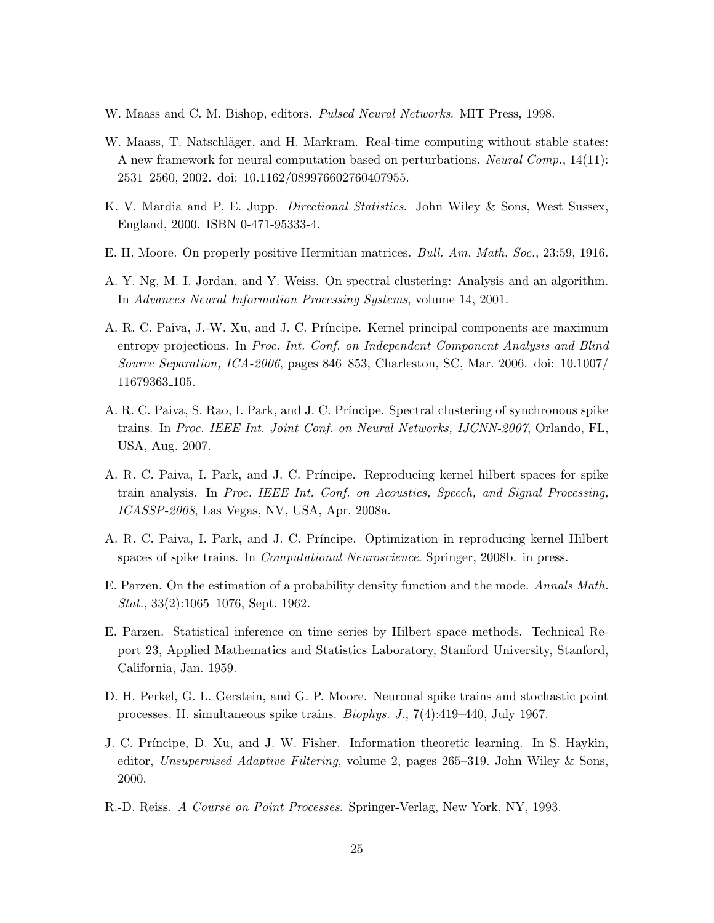- W. Maass and C. M. Bishop, editors. *Pulsed Neural Networks*. MIT Press, 1998.
- W. Maass, T. Natschläger, and H. Markram. Real-time computing without stable states: A new framework for neural computation based on perturbations. *Neural Comp.*, 14(11): 2531–2560, 2002. doi: 10.1162/089976602760407955.
- K. V. Mardia and P. E. Jupp. *Directional Statistics*. John Wiley & Sons, West Sussex, England, 2000. ISBN 0-471-95333-4.
- E. H. Moore. On properly positive Hermitian matrices. *Bull. Am. Math. Soc.*, 23:59, 1916.
- A. Y. Ng, M. I. Jordan, and Y. Weiss. On spectral clustering: Analysis and an algorithm. In *Advances Neural Information Processing Systems*, volume 14, 2001.
- A. R. C. Paiva, J.-W. Xu, and J. C. Pr´ıncipe. Kernel principal components are maximum entropy projections. In *Proc. Int. Conf. on Independent Component Analysis and Blind Source Separation, ICA-2006*, pages 846–853, Charleston, SC, Mar. 2006. doi: 10.1007/ 11679363 105.
- A. R. C. Paiva, S. Rao, I. Park, and J. C. Príncipe. Spectral clustering of synchronous spike trains. In *Proc. IEEE Int. Joint Conf. on Neural Networks, IJCNN-2007*, Orlando, FL, USA, Aug. 2007.
- A. R. C. Paiva, I. Park, and J. C. Pr´ıncipe. Reproducing kernel hilbert spaces for spike train analysis. In *Proc. IEEE Int. Conf. on Acoustics, Speech, and Signal Processing, ICASSP-2008*, Las Vegas, NV, USA, Apr. 2008a.
- A. R. C. Paiva, I. Park, and J. C. Príncipe. Optimization in reproducing kernel Hilbert spaces of spike trains. In *Computational Neuroscience*. Springer, 2008b. in press.
- E. Parzen. On the estimation of a probability density function and the mode. *Annals Math. Stat.*, 33(2):1065–1076, Sept. 1962.
- E. Parzen. Statistical inference on time series by Hilbert space methods. Technical Report 23, Applied Mathematics and Statistics Laboratory, Stanford University, Stanford, California, Jan. 1959.
- D. H. Perkel, G. L. Gerstein, and G. P. Moore. Neuronal spike trains and stochastic point processes. II. simultaneous spike trains. *Biophys. J.*, 7(4):419–440, July 1967.
- J. C. Príncipe, D. Xu, and J. W. Fisher. Information theoretic learning. In S. Haykin, editor, *Unsupervised Adaptive Filtering*, volume 2, pages 265–319. John Wiley & Sons, 2000.
- R.-D. Reiss. *A Course on Point Processes*. Springer-Verlag, New York, NY, 1993.